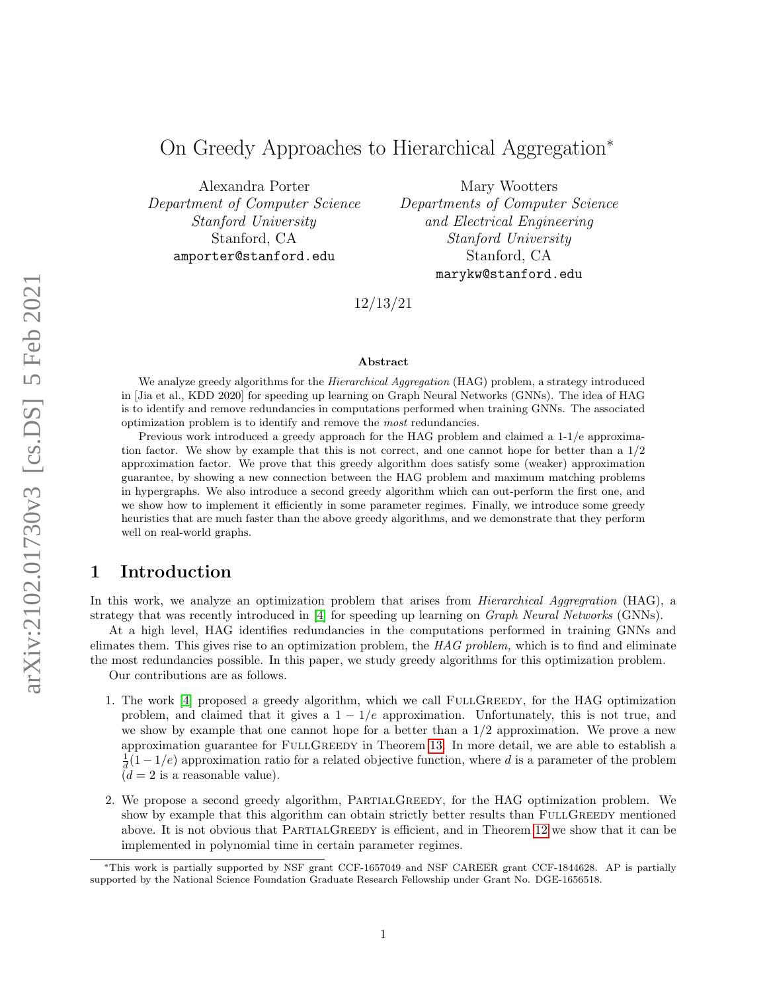# On Greedy Approaches to Hierarchical Aggregation<sup>∗</sup>

Alexandra Porter Department of Computer Science Stanford University Stanford, CA amporter@stanford.edu

Mary Wootters Departments of Computer Science and Electrical Engineering Stanford University Stanford, CA marykw@stanford.edu

12/13/21

#### Abstract

We analyze greedy algorithms for the *Hierarchical Aggregation* (HAG) problem, a strategy introduced in [Jia et al., KDD 2020] for speeding up learning on Graph Neural Networks (GNNs). The idea of HAG is to identify and remove redundancies in computations performed when training GNNs. The associated optimization problem is to identify and remove the most redundancies.

Previous work introduced a greedy approach for the HAG problem and claimed a 1-1/e approximation factor. We show by example that this is not correct, and one cannot hope for better than a  $1/2$ approximation factor. We prove that this greedy algorithm does satisfy some (weaker) approximation guarantee, by showing a new connection between the HAG problem and maximum matching problems in hypergraphs. We also introduce a second greedy algorithm which can out-perform the first one, and we show how to implement it efficiently in some parameter regimes. Finally, we introduce some greedy heuristics that are much faster than the above greedy algorithms, and we demonstrate that they perform well on real-world graphs.

## 1 Introduction

In this work, we analyze an optimization problem that arises from *Hierarchical Aggregration* (HAG), a strategy that was recently introduced in [\[4\]](#page-17-0) for speeding up learning on *Graph Neural Networks* (GNNs).

At a high level, HAG identifies redundancies in the computations performed in training GNNs and elimates them. This gives rise to an optimization problem, the  $HAG$  problem, which is to find and eliminate the most redundancies possible. In this paper, we study greedy algorithms for this optimization problem.

Our contributions are as follows.

- 1. The work [\[4\]](#page-17-0) proposed a greedy algorithm, which we call FULLGREEDY, for the HAG optimization problem, and claimed that it gives a  $1 - 1/e$  approximation. Unfortunately, this is not true, and we show by example that one cannot hope for a better than a  $1/2$  approximation. We prove a new approximation guarantee for FULLGREEDY in Theorem [13.](#page-8-0) In more detail, we are able to establish a  $\frac{1}{d}(1-1/e)$  approximation ratio for a related objective function, where d is a parameter of the problem  $(d = 2$  is a reasonable value).
- 2. We propose a second greedy algorithm, PartialGreedy, for the HAG optimization problem. We show by example that this algorithm can obtain strictly better results than FULLGREEDY mentioned above. It is not obvious that PARTIALGREEDY is efficient, and in Theorem [12](#page-7-0) we show that it can be implemented in polynomial time in certain parameter regimes.

<sup>∗</sup>This work is partially supported by NSF grant CCF-1657049 and NSF CAREER grant CCF-1844628. AP is partially supported by the National Science Foundation Graduate Research Fellowship under Grant No. DGE-1656518.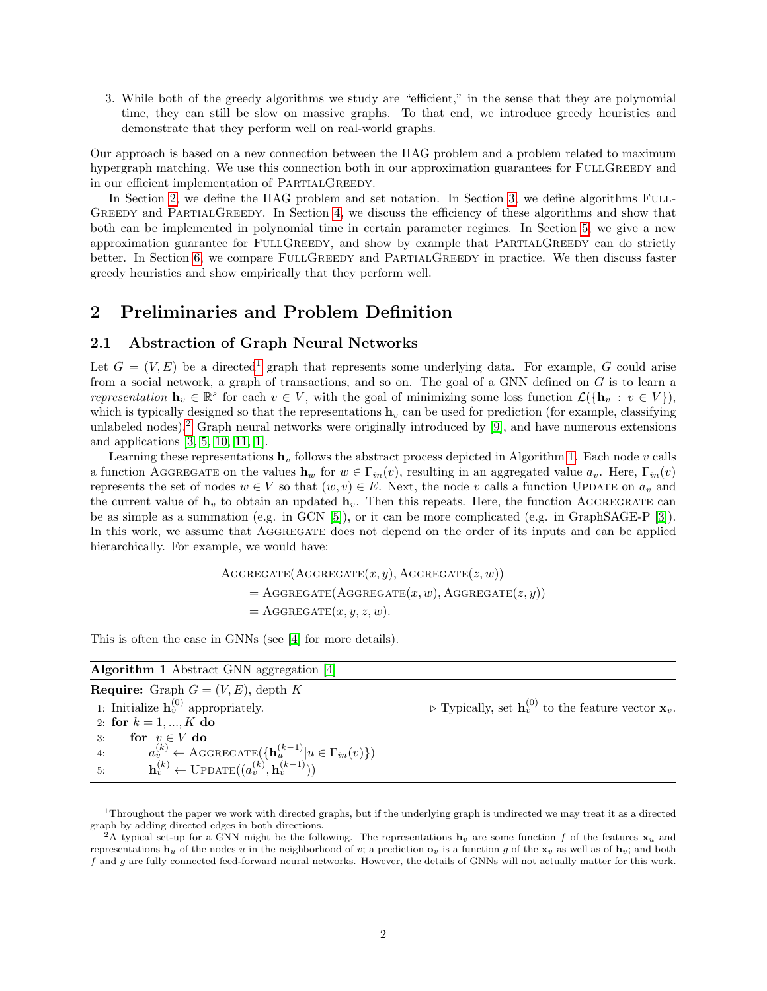3. While both of the greedy algorithms we study are "efficient," in the sense that they are polynomial time, they can still be slow on massive graphs. To that end, we introduce greedy heuristics and demonstrate that they perform well on real-world graphs.

Our approach is based on a new connection between the HAG problem and a problem related to maximum hypergraph matching. We use this connection both in our approximation guarantees for FULLGREEDY and in our efficient implementation of PARTIALGREEDY.

In Section [2,](#page-1-0) we define the HAG problem and set notation. In Section [3,](#page-4-0) we define algorithms FULL-GREEDY and PARTIALGREEDY. In Section [4,](#page-4-1) we discuss the efficiency of these algorithms and show that both can be implemented in polynomial time in certain parameter regimes. In Section [5,](#page-8-1) we give a new approximation guarantee for FULLGREEDY, and show by example that PARTIALGREEDY can do strictly better. In Section [6,](#page-15-0) we compare FULLGREEDY and PARTIALGREEDY in practice. We then discuss faster greedy heuristics and show empirically that they perform well.

# <span id="page-1-0"></span>2 Preliminaries and Problem Definition

## 2.1 Abstraction of Graph Neural Networks

Let  $G = (V, E)$  be a directed<sup>[1](#page-1-1)</sup> graph that represents some underlying data. For example, G could arise from a social network, a graph of transactions, and so on. The goal of a GNN defined on G is to learn a representation  $\mathbf{h}_v \in \mathbb{R}^s$  for each  $v \in V$ , with the goal of minimizing some loss function  $\mathcal{L}(\{\mathbf{h}_v : v \in V\})$ , which is typically designed so that the representations  $\mathbf{h}_v$  can be used for prediction (for example, classifying unlabeled nodes).<sup>[2](#page-1-2)</sup> Graph neural networks were originally introduced by  $[9]$ , and have numerous extensions and applications [\[3,](#page-17-2) [5,](#page-17-3) [10,](#page-17-4) [11,](#page-17-5) [1\]](#page-17-6).

Learning these representations  $h_v$  follows the abstract process depicted in Algorithm [1.](#page-1-3) Each node v calls a function AGGREGATE on the values  $h_w$  for  $w \in \Gamma_{in}(v)$ , resulting in an aggregated value  $a_v$ . Here,  $\Gamma_{in}(v)$ represents the set of nodes  $w \in V$  so that  $(w, v) \in E$ . Next, the node v calls a function UPDATE on  $a_v$  and the current value of  $\mathbf{h}_v$  to obtain an updated  $\mathbf{h}_v$ . Then this repeats. Here, the function AGGREGRATE can be as simple as a summation (e.g. in GCN [\[5\]](#page-17-3)), or it can be more complicated (e.g. in GraphSAGE-P [\[3\]](#page-17-2)). In this work, we assume that AGGREGATE does not depend on the order of its inputs and can be applied hierarchically. For example, we would have:

> $AGGREGATE(AGGREGATE(x, y), AGGREGATE(z, w))$  $=$  AGGREGATE(AGGREGATE $(x, w)$ , AGGREGATE $(z, y)$ )  $=$  AGGREGATE $(x, y, z, w)$ .

This is often the case in GNNs (see [\[4\]](#page-17-0) for more details).

<span id="page-1-3"></span>

| <b>Algorithm 1</b> Abstract GNN aggregation [4]                                                |                                                                                             |
|------------------------------------------------------------------------------------------------|---------------------------------------------------------------------------------------------|
| <b>Require:</b> Graph $G = (V, E)$ , depth K                                                   |                                                                                             |
| 1: Initialize $\mathbf{h}_v^{(0)}$ appropriately.                                              | $\triangleright$ Typically, set $\mathbf{h}_v^{(0)}$ to the feature vector $\mathbf{x}_v$ . |
| 2: for $k = 1, , K$ do                                                                         |                                                                                             |
| for $v \in V$ do<br>3:                                                                         |                                                                                             |
| $a_v^{(k)} \leftarrow \text{AGGREGATE}(\{\mathbf{h}_u^{(k-1)}   u \in \Gamma_{in}(v)\})$<br>4: |                                                                                             |
| $\mathbf{h}_v^{(k)} \leftarrow \text{UPDATE}((a_v^{(k)}, \mathbf{h}_v^{(k-1)}))$<br>5:         |                                                                                             |

<span id="page-1-1"></span><sup>1</sup>Throughout the paper we work with directed graphs, but if the underlying graph is undirected we may treat it as a directed graph by adding directed edges in both directions.

<span id="page-1-2"></span><sup>&</sup>lt;sup>2</sup>A typical set-up for a GNN might be the following. The representations  $h_v$  are some function f of the features  $x_u$  and representations  $\mathbf{h}_u$  of the nodes u in the neighborhood of v; a prediction  $\mathbf{o}_v$  is a function q of the  $\mathbf{x}_v$  as well as of  $\mathbf{h}_v$ ; and both f and g are fully connected feed-forward neural networks. However, the details of GNNs will not actually matter for this work.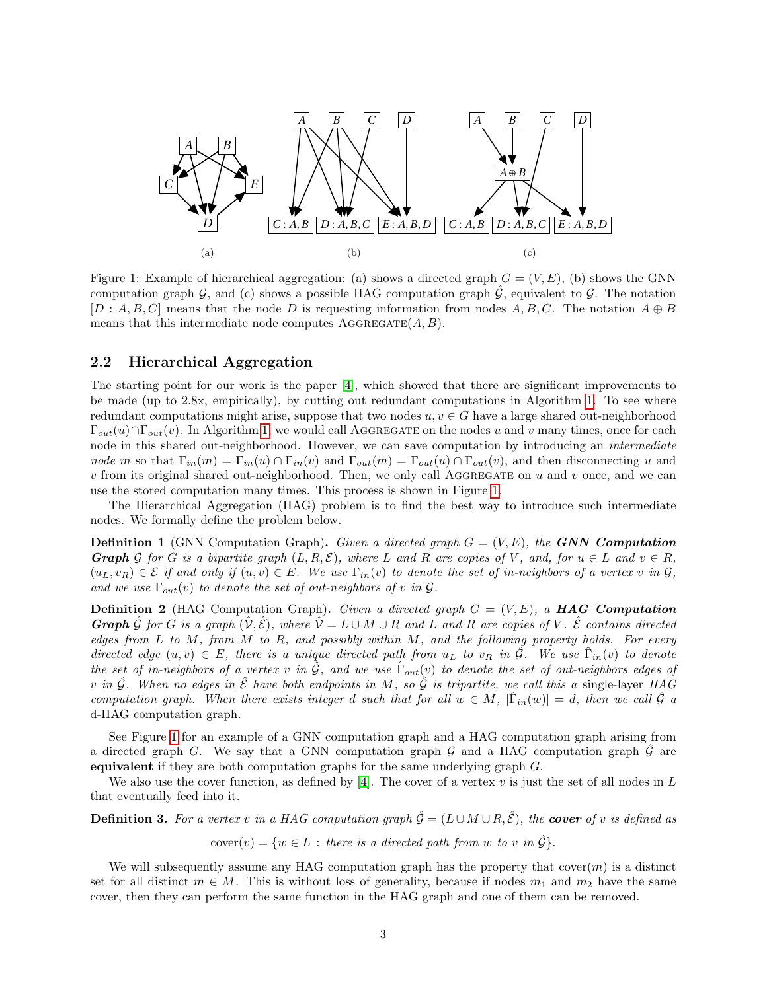<span id="page-2-0"></span>

Figure 1: Example of hierarchical aggregation: (a) shows a directed graph  $G = (V, E)$ , (b) shows the GNN computation graph G, and (c) shows a possible HAG computation graph  $\mathcal G$ , equivalent to  $\mathcal G$ . The notation  $[D: A, B, C]$  means that the node D is requesting information from nodes A, B, C. The notation  $A \oplus B$ means that this intermediate node computes  $\text{AGGREGATE}(A, B)$ .

#### 2.2 Hierarchical Aggregation

The starting point for our work is the paper [\[4\]](#page-17-0), which showed that there are significant improvements to be made (up to 2.8x, empirically), by cutting out redundant computations in Algorithm [1.](#page-1-3) To see where redundant computations might arise, suppose that two nodes  $u, v \in G$  have a large shared out-neighborhood  $\Gamma_{out}(u) \cap \Gamma_{out}(v)$ . In Algorithm [1,](#page-1-3) we would call AGGREGATE on the nodes u and v many times, once for each node in this shared out-neighborhood. However, we can save computation by introducing an intermediate node m so that  $\Gamma_{in}(m) = \Gamma_{in}(u) \cap \Gamma_{in}(v)$  and  $\Gamma_{out}(m) = \Gamma_{out}(u) \cap \Gamma_{out}(v)$ , and then disconnecting u and  $v$  from its original shared out-neighborhood. Then, we only call AGGREGATE on  $u$  and  $v$  once, and we can use the stored computation many times. This process is shown in Figure [1.](#page-2-0)

The Hierarchical Aggregation (HAG) problem is to find the best way to introduce such intermediate nodes. We formally define the problem below.

**Definition 1** (GNN Computation Graph). Given a directed graph  $G = (V, E)$ , the **GNN Computation Graph** G for G is a bipartite graph  $(L, R, \mathcal{E})$ , where L and R are copies of V, and, for  $u \in L$  and  $v \in R$ ,  $(u_L, v_R) \in \mathcal{E}$  if and only if  $(u, v) \in E$ . We use  $\Gamma_{in}(v)$  to denote the set of in-neighbors of a vertex v in  $\mathcal{G}$ , and we use  $\Gamma_{out}(v)$  to denote the set of out-neighbors of v in  $\mathcal{G}$ .

**Definition 2** (HAG Computation Graph). Given a directed graph  $G = (V, E)$ , a **HAG Computation Graph** G for G is a graph  $(V, \mathcal{E})$ , where  $V = L \cup M \cup R$  and L and R are copies of V. E contains directed edges from  $L$  to  $M$ , from  $M$  to  $R$ , and possibly within  $M$ , and the following property holds. For every directed edge  $(u, v) \in E$ , there is a unique directed path from  $u<sub>L</sub>$  to  $v<sub>R</sub>$  in  $\hat{G}$ . We use  $\hat{\Gamma}_{in}(v)$  to denote the set of in-neighbors of a vertex v in  $\hat{G}$ , and we use  $\hat{\Gamma}_{out}(v)$  to denote the set of out-neighbors edges of v in  $\hat{\mathcal{G}}$ . When no edges in  $\hat{\mathcal{E}}$  have both endpoints in M, so  $\hat{\mathcal{G}}$  is tripartite, we call this a single-layer HAG computation graph. When there exists integer d such that for all  $w \in M$ ,  $|\hat{\Gamma}_{in}(w)| = d$ , then we call  $\hat{\mathcal{G}}$  a d-HAG computation graph.

See Figure [1](#page-2-0) for an example of a GNN computation graph and a HAG computation graph arising from a directed graph G. We say that a GNN computation graph  $\mathcal G$  and a HAG computation graph  $\mathcal G$  are equivalent if they are both computation graphs for the same underlying graph  $G$ .

We also use the cover function, as defined by [\[4\]](#page-17-0). The cover of a vertex v is just the set of all nodes in  $L$ that eventually feed into it.

**Definition 3.** For a vertex v in a HAG computation graph  $\hat{G} = (L \cup M \cup R, \hat{\mathcal{E}})$ , the **cover** of v is defined as

 $cover(v) = \{w \in L : there \text{ is a directed path from } w \text{ to } v \text{ in } \hat{G}\}.$ 

We will subsequently assume any HAG computation graph has the property that  $\text{cover}(m)$  is a distinct set for all distinct  $m \in M$ . This is without loss of generality, because if nodes  $m_1$  and  $m_2$  have the same cover, then they can perform the same function in the HAG graph and one of them can be removed.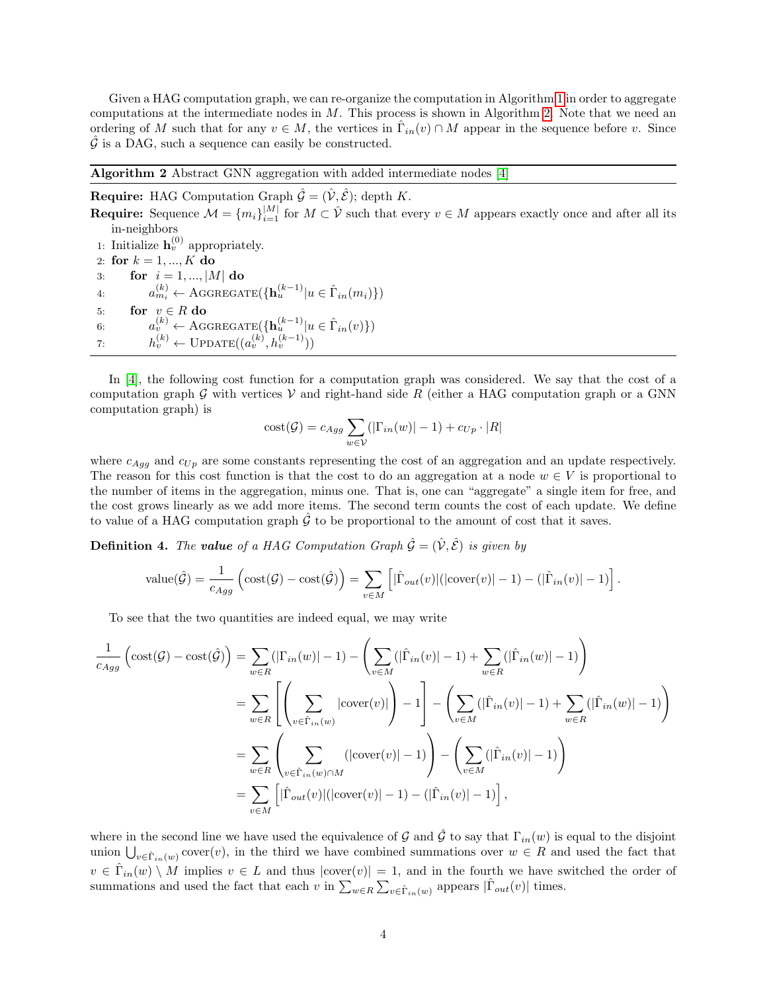Given a HAG computation graph, we can re-organize the computation in Algorithm [1](#page-1-3) in order to aggregate computations at the intermediate nodes in  $M$ . This process is shown in Algorithm [2.](#page-3-0) Note that we need an ordering of M such that for any  $v \in M$ , the vertices in  $\hat{\Gamma}_{in}(v) \cap M$  appear in the sequence before v. Since  $\hat{\mathcal{G}}$  is a DAG, such a sequence can easily be constructed.

#### <span id="page-3-0"></span>Algorithm 2 Abstract GNN aggregation with added intermediate nodes [\[4\]](#page-17-0)

**Require:** HAG Computation Graph  $\hat{\mathcal{G}} = (\hat{\mathcal{V}}, \hat{\mathcal{E}})$ ; depth K.

**Require:** Sequence  $\mathcal{M} = \{m_i\}_{i=1}^{|M|}$  for  $M \subset \hat{\mathcal{V}}$  such that every  $v \in M$  appears exactly once and after all its in-neighbors 1: Initialize  $\mathbf{h}_v^{(0)}$  appropriately.

2: for  $k = 1, ..., K$  do 3: for  $i = 1, ..., |M|$  do 4:  $a_{m_i}^{(k)} \leftarrow \text{AGGREGATE}(\{\mathbf{h}_u^{(k-1)} | u \in \hat{\Gamma}_{in}(m_i)\})$ 5: for  $v \in R$  do 6:  $a_v^{(k)} \leftarrow \text{AGGREGATE}(\{\mathbf{h}_u^{(k-1)} | u \in \hat{\Gamma}_{in}(v)\})$ 7:  $h_v^{(k)} \leftarrow \text{UPDATE}((a_v^{(k)}, h_v^{(k-1)}))$ 

In [\[4\]](#page-17-0), the following cost function for a computation graph was considered. We say that the cost of a computation graph G with vertices  $V$  and right-hand side R (either a HAG computation graph or a GNN computation graph) is

$$
cost(\mathcal{G}) = c_{Agg} \sum_{w \in \mathcal{V}} (|\Gamma_{in}(w)| - 1) + c_{Up} \cdot |R|
$$

where  $c_{Aq}$  and  $c_{Up}$  are some constants representing the cost of an aggregation and an update respectively. The reason for this cost function is that the cost to do an aggregation at a node  $w \in V$  is proportional to the number of items in the aggregation, minus one. That is, one can "aggregate" a single item for free, and the cost grows linearly as we add more items. The second term counts the cost of each update. We define to value of a HAG computation graph  $\hat{G}$  to be proportional to the amount of cost that it saves.

**Definition 4.** The **value** of a HAG Computation Graph  $\hat{G} = (\hat{V}, \hat{\mathcal{E}})$  is given by

value
$$
(\hat{G}) = \frac{1}{c_{Agg}} \left( \text{cost}(\mathcal{G}) - \text{cost}(\hat{\mathcal{G}}) \right) = \sum_{v \in M} \left[ |\hat{\Gamma}_{out}(v)| (|\text{cover}(v)| - 1) - (|\hat{\Gamma}_{in}(v)| - 1) \right].
$$

To see that the two quantities are indeed equal, we may write

$$
\frac{1}{c_{Agg}} \left( \text{cost}(\mathcal{G}) - \text{cost}(\hat{\mathcal{G}}) \right) = \sum_{w \in R} (|\Gamma_{in}(w)| - 1) - \left( \sum_{v \in M} (|\hat{\Gamma}_{in}(v)| - 1) + \sum_{w \in R} (|\hat{\Gamma}_{in}(w)| - 1) \right)
$$
\n
$$
= \sum_{w \in R} \left[ \left( \sum_{v \in \hat{\Gamma}_{in}(w)} |\text{cover}(v)| \right) - 1 \right] - \left( \sum_{v \in M} (|\hat{\Gamma}_{in}(v)| - 1) + \sum_{w \in R} (|\hat{\Gamma}_{in}(w)| - 1) \right)
$$
\n
$$
= \sum_{w \in R} \left( \sum_{v \in \hat{\Gamma}_{in}(w) \cap M} (|\text{cover}(v)| - 1) \right) - \left( \sum_{v \in M} (|\hat{\Gamma}_{in}(v)| - 1) \right)
$$
\n
$$
= \sum_{v \in M} \left[ |\hat{\Gamma}_{out}(v)| (|\text{cover}(v)| - 1) - (|\hat{\Gamma}_{in}(v)| - 1) \right],
$$

where in the second line we have used the equivalence of G and  $\hat{G}$  to say that  $\Gamma_{in}(w)$  is equal to the disjoint union  $\bigcup_{v \in \hat{\Gamma}_{in}(w)} \text{cover}(v)$ , in the third we have combined summations over  $w \in R$  and used the fact that  $v \in \hat{\Gamma}_{in}(w) \setminus M$  implies  $v \in L$  and thus  $|\text{cover}(v)| = 1$ , and in the fourth we have switched the order of summations and used the fact that each v in  $\sum_{w \in R} \sum_{v \in \hat{\Gamma}_{in}(w)}$  appears  $|\hat{\Gamma}_{out}(v)|$  times.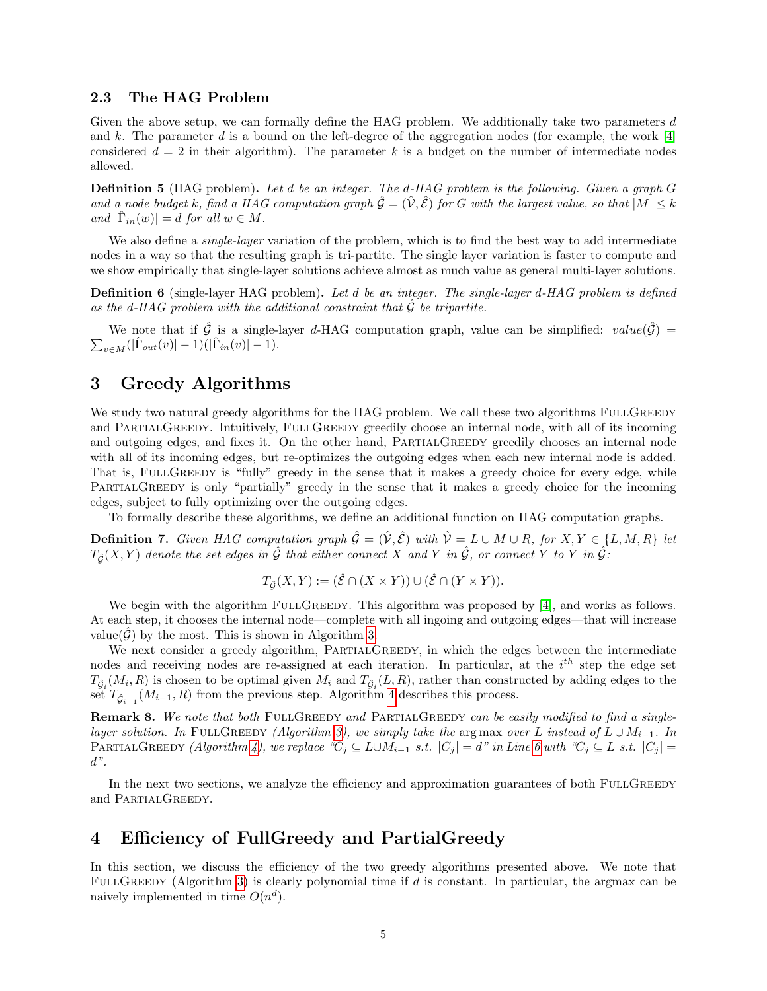## 2.3 The HAG Problem

Given the above setup, we can formally define the HAG problem. We additionally take two parameters d and k. The parameter d is a bound on the left-degree of the aggregation nodes (for example, the work  $[4]$ considered  $d = 2$  in their algorithm). The parameter k is a budget on the number of intermediate nodes allowed.

Definition 5 (HAG problem). Let d be an integer. The d-HAG problem is the following. Given a graph G and a node budget k, find a HAG computation graph  $\hat{\mathcal{G}} = (\hat{V}, \hat{\mathcal{E}})$  for G with the largest value, so that  $|M| \leq k$ and  $|\hat{\Gamma}_{in}(w)| = d$  for all  $w \in M$ .

We also define a *single-layer* variation of the problem, which is to find the best way to add intermediate nodes in a way so that the resulting graph is tri-partite. The single layer variation is faster to compute and we show empirically that single-layer solutions achieve almost as much value as general multi-layer solutions.

Definition 6 (single-layer HAG problem). Let d be an integer. The single-layer d-HAG problem is defined as the d-HAG problem with the additional constraint that  $\tilde{\mathcal{G}}$  be tripartite.

We note that if  $\hat{G}$  is a single-layer d-HAG computation graph, value can be simplified: value $(\hat{G})$  =  $\sum_{v \in M} (|\hat{\Gamma}_{out}(v)| - 1)(|\hat{\Gamma}_{in}(v)| - 1).$ 

# <span id="page-4-0"></span>3 Greedy Algorithms

We study two natural greedy algorithms for the HAG problem. We call these two algorithms FULLGREEDY and PARTIALGREEDY. Intuitively, FULLGREEDY greedily choose an internal node, with all of its incoming and outgoing edges, and fixes it. On the other hand, PARTIALGREEDY greedily chooses an internal node with all of its incoming edges, but re-optimizes the outgoing edges when each new internal node is added. That is, FULLGREEDY is "fully" greedy in the sense that it makes a greedy choice for every edge, while PARTIALGREEDY is only "partially" greedy in the sense that it makes a greedy choice for the incoming edges, subject to fully optimizing over the outgoing edges.

To formally describe these algorithms, we define an additional function on HAG computation graphs.

**Definition 7.** Given HAG computation graph  $\hat{\mathcal{G}} = (\hat{\mathcal{V}}, \hat{\mathcal{E}})$  with  $\hat{\mathcal{V}} = L \cup M \cup R$ , for  $X, Y \in \{L, M, R\}$  let  $T_{\hat{G}}(X,Y)$  denote the set edges in  $\hat{G}$  that either connect X and Y in  $\hat{G}$ , or connect Y to Y in  $\hat{G}$ :

$$
T_{\hat{\mathcal{G}}}(X,Y):=(\hat{\mathcal{E}}\cap (X\times Y))\cup (\hat{\mathcal{E}}\cap (Y\times Y)).
$$

We begin with the algorithm FULLGREEDY. This algorithm was proposed by [\[4\]](#page-17-0), and works as follows. At each step, it chooses the internal node—complete with all ingoing and outgoing edges—that will increase value( $\mathcal{G}$ ) by the most. This is shown in Algorithm [3.](#page-5-0)

We next consider a greedy algorithm, PARTIALGREEDY, in which the edges between the intermediate nodes and receiving nodes are re-assigned at each iteration. In particular, at the  $i^{th}$  step the edge set  $T_{\hat{\mathcal{G}}_i}(M_i, R)$  is chosen to be optimal given  $M_i$  and  $T_{\hat{\mathcal{G}}_i}(L, R)$ , rather than constructed by adding edges to the set  $T_{\hat{\mathcal{G}}_{i-1}}(M_{i-1}, R)$  from the previous step. Algorithm [4](#page-5-1) describes this process.

<span id="page-4-2"></span>Remark 8. We note that both FULLGREEDY and PARTIALGREEDY can be easily modified to find a single-layer solution. In FULLGREEDY (Algorithm [3\)](#page-5-0), we simply take the arg max over L instead of  $L \cup M_{i-1}$ . In PARTIALGREEDY (Algorithm [4\)](#page-5-1), we replace " $C_i \subseteq L \cup M_{i-1}$  s.t.  $|C_j| = d$ " in Line [6](#page-5-1) with " $C_i \subseteq L$  s.t.  $|C_j| =$  $d$ ".

In the next two sections, we analyze the efficiency and approximation guarantees of both FULLGREEDY and PARTIALGREEDY.

## <span id="page-4-1"></span>4 Efficiency of FullGreedy and PartialGreedy

In this section, we discuss the efficiency of the two greedy algorithms presented above. We note that FULLGREEDY (Algorithm [3\)](#page-5-0) is clearly polynomial time if  $d$  is constant. In particular, the argmax can be naively implemented in time  $O(n^d)$ .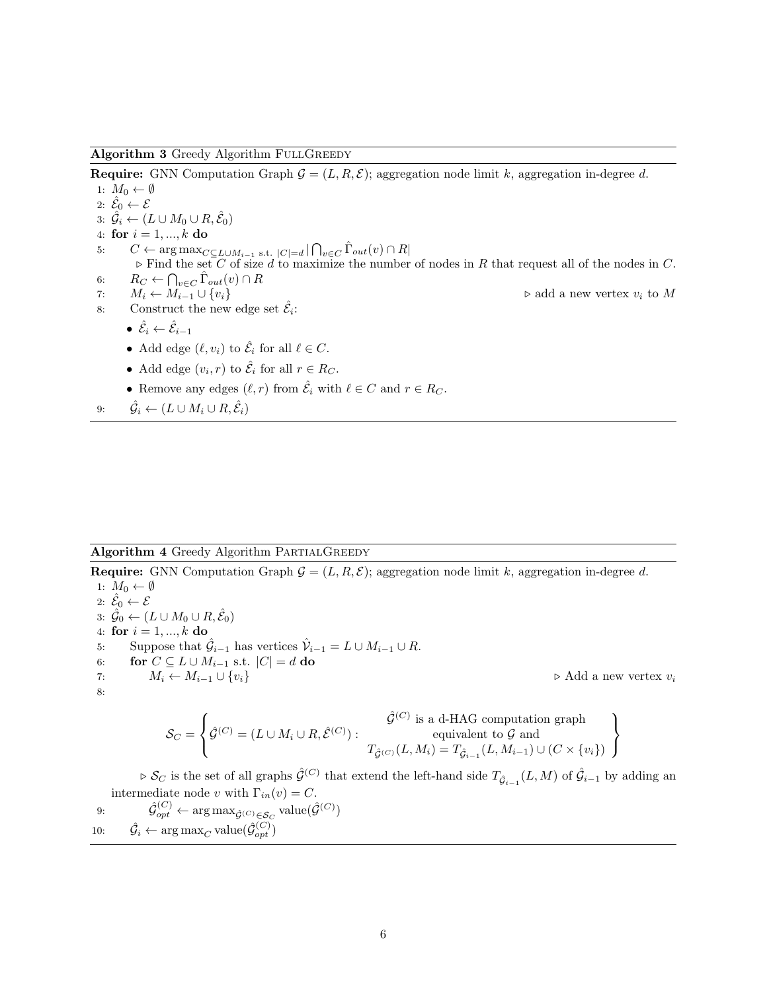#### <span id="page-5-0"></span>Algorithm 3 Greedy Algorithm FULLGREEDY

**Require:** GNN Computation Graph  $\mathcal{G} = (L, R, \mathcal{E})$ ; aggregation node limit k, aggregation in-degree d.

1:  $M_0 \leftarrow \emptyset$ 2:  $\hat{\mathcal{E}}_0 \leftarrow \mathcal{E}$ 3:  $\hat{\mathcal{G}}_i \leftarrow (L \cup M_0 \cup R, \hat{\mathcal{E}}_0)$ 4: for  $i = 1, ..., k$  do 5:  $C \leftarrow \arg \max_{C \subseteq L \cup M_{i-1} \text{ s.t. } |C| = d} |\bigcap_{v \in C} \hat{\Gamma}_{out}(v) \cap R|$  $\triangleright$  Find the set C of size d to maximize the number of nodes in R that request all of the nodes in C. 6:  $R_C \leftarrow \bigcap_{v \in C} \hat{\Gamma}_{out}(v) \cap R$ 7:  $M_i \leftarrow M_{i-1} \cup \{v_i\}$   $\triangleright$  add a new vertex  $v_i$  to M 8: Construct the new edge set  $\hat{\mathcal{E}}_i$ :  $\bullet \,\, \hat{\mathcal{E}}_i \leftarrow \hat{\mathcal{E}}_{i-1}$ • Add edge  $(\ell, v_i)$  to  $\hat{\mathcal{E}}_i$  for all  $\ell \in C$ .

- Add edge  $(v_i, r)$  to  $\hat{\mathcal{E}}_i$  for all  $r \in R_C$ .
- Remove any edges  $(\ell, r)$  from  $\hat{\mathcal{E}}_i$  with  $\ell \in C$  and  $r \in R_C$ .
- 9:  $\hat{\mathcal{G}}_i \leftarrow (L \cup M_i \cup R, \hat{\mathcal{E}}_i)$

## <span id="page-5-1"></span>Algorithm 4 Greedy Algorithm PARTIALGREEDY

**Require:** GNN Computation Graph  $\mathcal{G} = (L, R, \mathcal{E})$ ; aggregation node limit k, aggregation in-degree d.

1:  $M_0 \leftarrow \emptyset$ 2:  $\hat{\mathcal{E}}_0 \leftarrow \mathcal{E}$ 3:  $\hat{\mathcal{G}}_0 \leftarrow (L \cup M_0 \cup R, \hat{\mathcal{E}}_0)$ 4: for  $i = 1, ..., k$  do 5: Suppose that  $\hat{\mathcal{G}}_{i-1}$  has vertices  $\hat{\mathcal{V}}_{i-1} = L \cup M_{i-1} \cup R$ . 6: for  $C \subseteq L \cup M_{i-1}$  s.t.  $|C| = d$  do 7:  $M_i \leftarrow M_{i-1} \cup \{v_i\}$   $\triangleright \text{Add a new vertex } v_i$ 8:

$$
\mathcal{S}_C = \left\{ \hat{\mathcal{G}}^{(C)} = (L \cup M_i \cup R, \hat{\mathcal{E}}^{(C)}): \begin{matrix} \hat{\mathcal{G}}^{(C)} \text{ is a d-HAG computation graph} \\ \text{equivalent to } \mathcal{G} \text{ and} \\ T_{\hat{\mathcal{G}}^{(C)}}(L,M_i) = T_{\hat{\mathcal{G}}_{i-1}}(L,M_{i-1}) \cup (C \times \{v_i\}) \end{matrix} \right\}
$$

 $\triangleright$  S<sub>C</sub> is the set of all graphs  $\hat{\mathcal{G}}^{(C)}$  that extend the left-hand side  $T_{\hat{\mathcal{G}}_{i-1}}(L,M)$  of  $\hat{\mathcal{G}}_{i-1}$  by adding an intermediate node v with  $\Gamma_{in}(v) = C$ .

9: 
$$
\hat{\mathcal{G}}_{opt}^{(C)} \leftarrow \arg \max_{\hat{\mathcal{G}}^{(C)} \in \mathcal{S}_C} \text{value}(\hat{\mathcal{G}}^{(C)})
$$
  
10: 
$$
\hat{\mathcal{G}}_i \leftarrow \arg \max_{C} \text{value}(\hat{\mathcal{G}}_{opt}^{(C)})
$$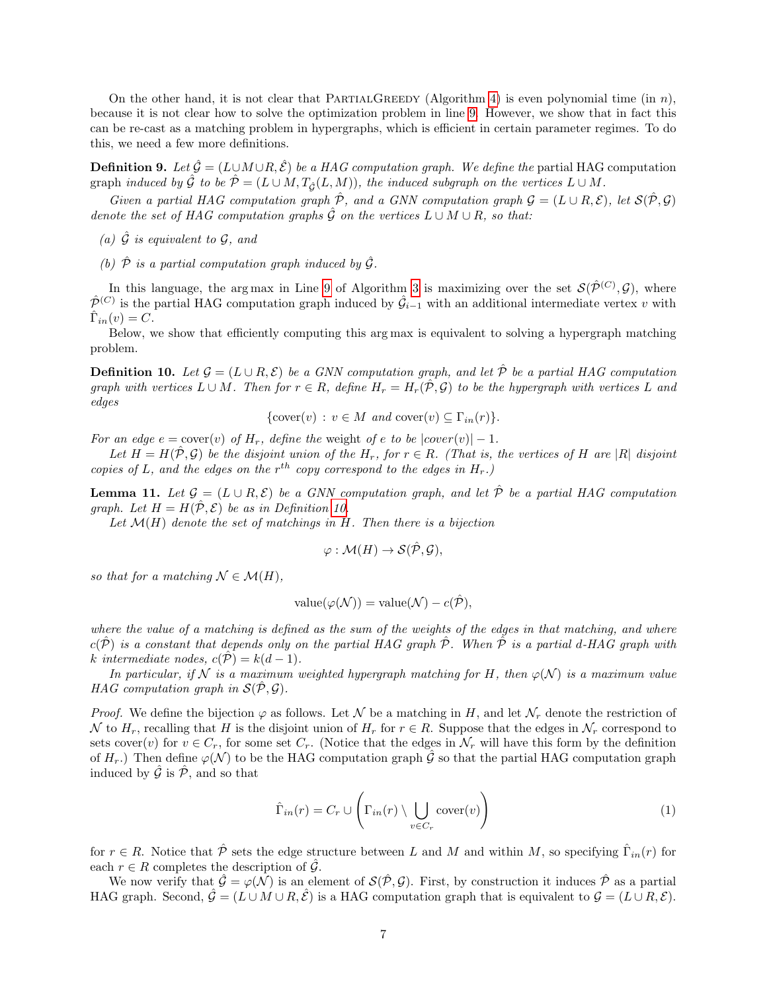On the other hand, it is not clear that PARTIALGREEDY (Algorithm [4\)](#page-5-1) is even polynomial time (in n), because it is not clear how to solve the optimization problem in line [9.](#page-5-1) However, we show that in fact this can be re-cast as a matching problem in hypergraphs, which is efficient in certain parameter regimes. To do this, we need a few more definitions.

<span id="page-6-3"></span>**Definition 9.** Let  $\hat{\mathcal{G}} = (L \cup M \cup R, \hat{\mathcal{E}})$  be a HAG computation graph. We define the partial HAG computation graph induced by  $\hat{\mathcal{G}}$  to be  $\hat{\mathcal{P}} = (L \cup M, T_{\hat{\mathcal{G}}}(L, M))$ , the induced subgraph on the vertices  $L \cup M$ .

Given a partial HAG computation graph  $\hat{\mathcal{P}}$ , and a GNN computation graph  $\mathcal{G} = (L \cup R, \mathcal{E})$ , let  $\mathcal{S}(\hat{\mathcal{P}}, \mathcal{G})$ denote the set of HAG computation graphs  $\hat{G}$  on the vertices  $L \cup M \cup R$ , so that:

- (a)  $\hat{\mathcal{G}}$  is equivalent to  $\mathcal{G}$ , and
- (b)  $\hat{\mathcal{P}}$  is a partial computation graph induced by  $\hat{\mathcal{G}}$ .

In this language, the arg max in Line [9](#page-5-1) of Algorithm [3](#page-5-0) is maximizing over the set  $\mathcal{S}(\hat{\mathcal{P}}^{(C)},\mathcal{G})$ , where  $\hat{\mathcal{P}}^{(C)}$  is the partial HAG computation graph induced by  $\hat{\mathcal{G}}_{i-1}$  with an additional intermediate vertex v with  $\hat{\Gamma}_{in}(v) = C.$ 

Below, we show that efficiently computing this arg max is equivalent to solving a hypergraph matching problem.

<span id="page-6-0"></span>**Definition 10.** Let  $\mathcal{G} = (L \cup R, \mathcal{E})$  be a GNN computation graph, and let  $\hat{\mathcal{P}}$  be a partial HAG computation graph with vertices  $L \cup M$ . Then for  $r \in R$ , define  $H_r = H_r(\hat{\mathcal{P}}, \mathcal{G})$  to be the hypergraph with vertices L and edges

{cover
$$
(v)
$$
 :  $v \in M$  and cover $(v) \subseteq \Gamma_{in}(r)$  }.

For an edge  $e = \text{cover}(v)$  of  $H_r$ , define the weight of e to be  $|\text{cover}(v)| - 1$ .

Let  $H = H(\hat{P}, \mathcal{G})$  be the disjoint union of the  $H_r$ , for  $r \in R$ . (That is, the vertices of H are |R| disjoint copies of L, and the edges on the  $r^{th}$  copy correspond to the edges in  $H_r$ .)

<span id="page-6-2"></span>**Lemma 11.** Let  $\mathcal{G} = (L \cup R, \mathcal{E})$  be a GNN computation graph, and let  $\hat{\mathcal{P}}$  be a partial HAG computation graph. Let  $H = H(\hat{P}, \mathcal{E})$  be as in Definition [10.](#page-6-0)

Let  $\mathcal{M}(H)$  denote the set of matchings in H. Then there is a bijection

$$
\varphi: \mathcal{M}(H) \to \mathcal{S}(\hat{\mathcal{P}}, \mathcal{G}),
$$

so that for a matching  $\mathcal{N} \in \mathcal{M}(H)$ ,

value
$$
(\varphi(\mathcal{N}))
$$
 = value $(\mathcal{N}) - c(\hat{\mathcal{P}}),$ 

where the value of a matching is defined as the sum of the weights of the edges in that matching, and where  $c(\mathcal{P})$  is a constant that depends only on the partial HAG graph  $\mathcal{P}$ . When  $\mathcal{P}$  is a partial d-HAG graph with k intermediate nodes,  $c(\hat{\mathcal{P}}) = k(d-1)$ .

In particular, if N is a maximum weighted hypergraph matching for H, then  $\varphi(\mathcal{N})$  is a maximum value HAG computation graph in  $\mathcal{S}(\hat{\mathcal{P}}, \mathcal{G})$ .

*Proof.* We define the bijection  $\varphi$  as follows. Let N be a matching in H, and let  $\mathcal{N}_r$  denote the restriction of N to  $H_r$ , recalling that H is the disjoint union of  $H_r$  for  $r \in R$ . Suppose that the edges in  $\mathcal{N}_r$  correspond to sets cover(v) for  $v \in C_r$ , for some set  $C_r$ . (Notice that the edges in  $\mathcal{N}_r$  will have this form by the definition of  $H_r$ .) Then define  $\varphi(\mathcal{N})$  to be the HAG computation graph  $\hat{\mathcal{G}}$  so that the partial HAG computation graph induced by  $\hat{G}$  is  $\hat{\mathcal{P}}$ , and so that

<span id="page-6-1"></span>
$$
\hat{\Gamma}_{in}(r) = C_r \cup \left(\Gamma_{in}(r) \setminus \bigcup_{v \in C_r} \text{cover}(v)\right) \tag{1}
$$

for  $r \in R$ . Notice that  $\hat{\mathcal{P}}$  sets the edge structure between L and M and within M, so specifying  $\hat{\Gamma}_{in}(r)$  for each  $r \in R$  completes the description of  $\hat{G}$ .

We now verify that  $\hat{\mathcal{G}} = \varphi(\mathcal{N})$  is an element of  $\mathcal{S}(\hat{\mathcal{P}}, \mathcal{G})$ . First, by construction it induces  $\hat{\mathcal{P}}$  as a partial HAG graph. Second,  $\hat{G} = (L \cup M \cup R, \hat{\mathcal{E}})$  is a HAG computation graph that is equivalent to  $\mathcal{G} = (L \cup R, \mathcal{E})$ .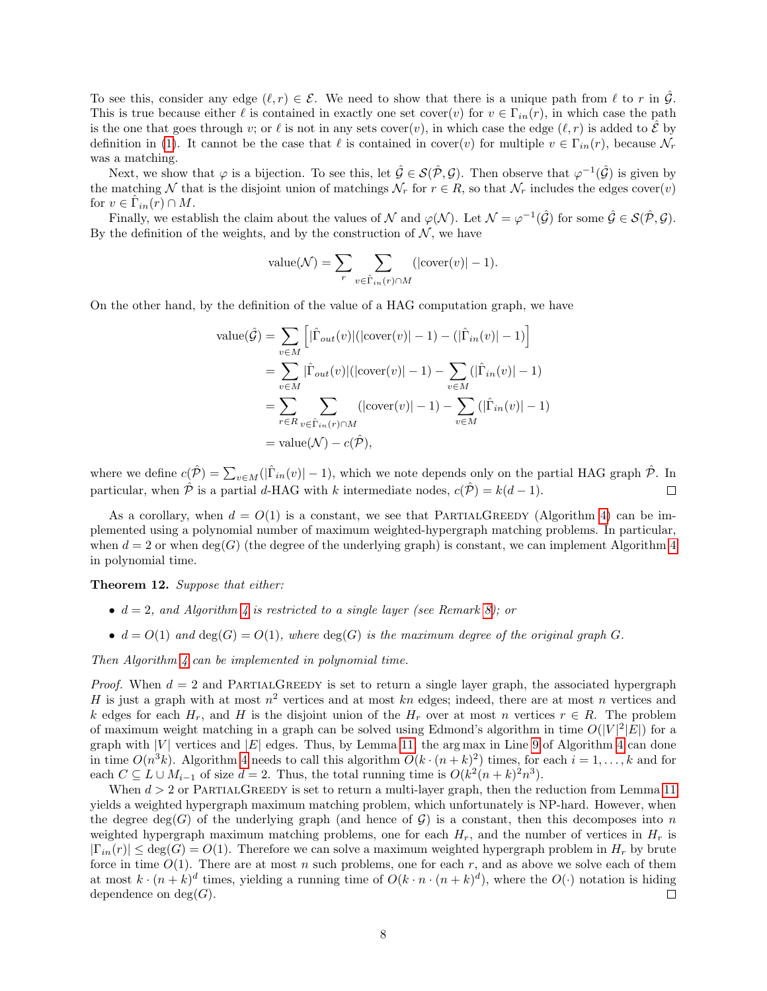To see this, consider any edge  $(\ell, r) \in \mathcal{E}$ . We need to show that there is a unique path from  $\ell$  to r in  $\hat{\mathcal{G}}$ . This is true because either  $\ell$  is contained in exactly one set cover(v) for  $v \in \Gamma_{in}(r)$ , in which case the path is the one that goes through v; or  $\ell$  is not in any sets cover $(v)$ , in which case the edge  $(\ell, r)$  is added to  $\mathcal E$  by definition in [\(1\)](#page-6-1). It cannot be the case that  $\ell$  is contained in cover(v) for multiple  $v \in \Gamma_{in}(r)$ , because  $\mathcal{N}_r$ was a matching.

Next, we show that  $\varphi$  is a bijection. To see this, let  $\hat{\mathcal{G}} \in \mathcal{S}(\hat{\mathcal{P}}, \mathcal{G})$ . Then observe that  $\varphi^{-1}(\hat{\mathcal{G}})$  is given by the matching N that is the disjoint union of matchings  $\mathcal{N}_r$  for  $r \in R$ , so that  $\mathcal{N}_r$  includes the edges cover(v) for  $v \in \hat{\Gamma}_{in}(r) \cap M$ .

Finally, we establish the claim about the values of N and  $\varphi(\mathcal{N})$ . Let  $\mathcal{N} = \varphi^{-1}(\hat{\mathcal{G}})$  for some  $\hat{\mathcal{G}} \in \mathcal{S}(\hat{\mathcal{P}}, \mathcal{G})$ . By the definition of the weights, and by the construction of  $N$ , we have

value(
$$
\mathcal{N}
$$
) =  $\sum_{r} \sum_{v \in \hat{\Gamma}_{in}(r) \cap M} (|\text{cover}(v)| - 1).$ 

On the other hand, by the definition of the value of a HAG computation graph, we have

value(
$$
\hat{G}
$$
) =  $\sum_{v \in M} \left[ |\hat{\Gamma}_{out}(v)| (|\text{cover}(v)| - 1) - (|\hat{\Gamma}_{in}(v)| - 1) \right]$   
\n=  $\sum_{v \in M} |\hat{\Gamma}_{out}(v)| (|\text{cover}(v)| - 1) - \sum_{v \in M} (|\hat{\Gamma}_{in}(v)| - 1)$   
\n=  $\sum_{r \in R} \sum_{v \in \hat{\Gamma}_{in}(r) \cap M} (|\text{cover}(v)| - 1) - \sum_{v \in M} (|\hat{\Gamma}_{in}(v)| - 1)$   
\n= value( $\mathcal{N}$ ) -  $c(\hat{\mathcal{P}}$ ),

where we define  $c(\hat{P}) = \sum_{v \in M}(|\hat{\Gamma}_{in}(v)| - 1)$ , which we note depends only on the partial HAG graph  $\hat{P}$ . In particular, when  $\hat{\mathcal{P}}$  is a partial d-HAG with k intermediate nodes,  $c(\hat{\mathcal{P}}) = k(d-1)$ .  $\Box$ 

As a corollary, when  $d = O(1)$  is a constant, we see that PARTIALGREEDY (Algorithm [4\)](#page-5-1) can be implemented using a polynomial number of maximum weighted-hypergraph matching problems. In particular, when  $d = 2$  or when  $\deg(G)$  (the degree of the underlying graph) is constant, we can implement Algorithm [4](#page-5-1) in polynomial time.

<span id="page-7-0"></span>Theorem 12. Suppose that either:

- $d = 2$ , and Algorithm [4](#page-5-1) is restricted to a single layer (see Remark [8\)](#page-4-2); or
- $d = O(1)$  and  $deg(G) = O(1)$ , where  $deg(G)$  is the maximum degree of the original graph G.

Then Algorithm [4](#page-5-1) can be implemented in polynomial time.

*Proof.* When  $d = 2$  and PARTIALGREEDY is set to return a single layer graph, the associated hypergraph H is just a graph with at most  $n^2$  vertices and at most kn edges; indeed, there are at most n vertices and k edges for each  $H_r$ , and H is the disjoint union of the  $H_r$  over at most n vertices  $r \in R$ . The problem of maximum weight matching in a graph can be solved using Edmond's algorithm in time  $O(|V|^2|E|)$  for a graph with |V| vertices and  $|E|$  edges. Thus, by Lemma [11,](#page-6-2) the arg max in Line [9](#page-5-1) of Algorithm [4](#page-5-1) can done in time  $O(n^3k)$ . Algorithm [4](#page-5-1) needs to call this algorithm  $O(k \cdot (n+k)^2)$  times, for each  $i = 1, ..., k$  and for each  $C \subseteq L \cup M_{i-1}$  of size  $d = 2$ . Thus, the total running time is  $O(k^2(n+k)^2n^3)$ .

When  $d > 2$  or PARTIALGREEDY is set to return a multi-layer graph, then the reduction from Lemma [11](#page-6-2) yields a weighted hypergraph maximum matching problem, which unfortunately is NP-hard. However, when the degree deg(G) of the underlying graph (and hence of  $G$ ) is a constant, then this decomposes into n weighted hypergraph maximum matching problems, one for each  $H_r$ , and the number of vertices in  $H_r$  is  $|\Gamma_{in}(r)| \leq \deg(G) = O(1)$ . Therefore we can solve a maximum weighted hypergraph problem in  $H_r$  by brute force in time  $O(1)$ . There are at most n such problems, one for each r, and as above we solve each of them at most  $k \cdot (n+k)^d$  times, yielding a running time of  $O(k \cdot n \cdot (n+k)^d)$ , where the  $O(\cdot)$  notation is hiding dependence on  $deg(G)$ .  $\Box$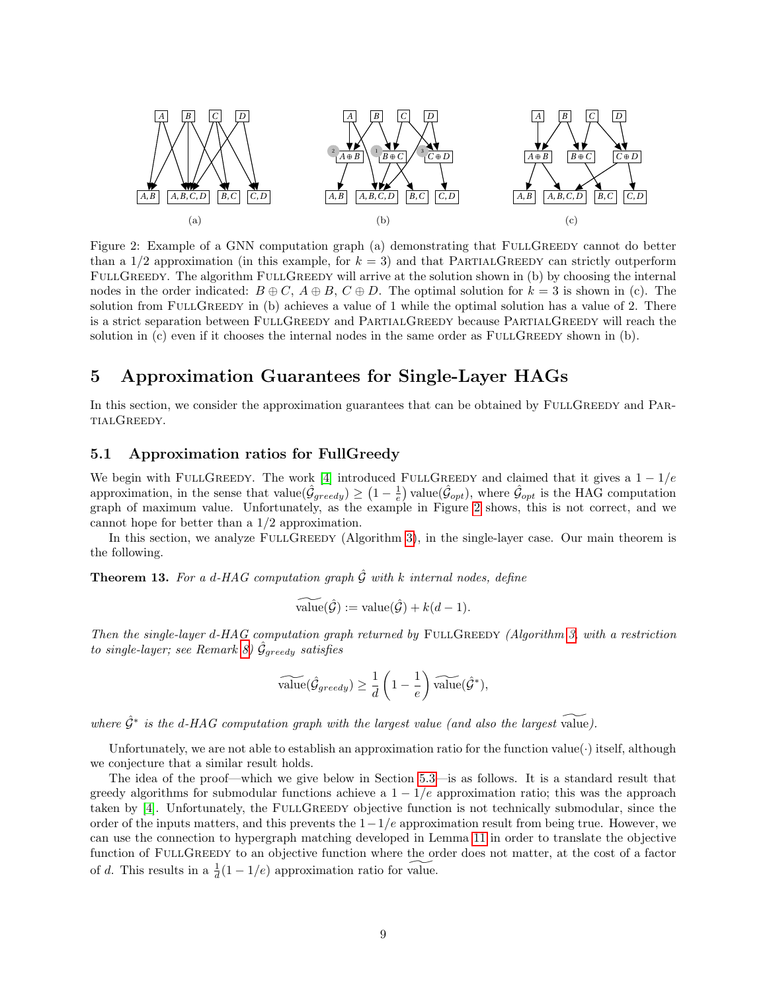<span id="page-8-2"></span>

Figure 2: Example of a GNN computation graph (a) demonstrating that FULLGREEDY cannot do better than a  $1/2$  approximation (in this example, for  $k = 3$ ) and that PARTIALGREEDY can strictly outperform FULLGREEDY. The algorithm FULLGREEDY will arrive at the solution shown in (b) by choosing the internal nodes in the order indicated:  $B \oplus C$ ,  $A \oplus B$ ,  $C \oplus D$ . The optimal solution for  $k = 3$  is shown in (c). The solution from FULLGREEDY in (b) achieves a value of 1 while the optimal solution has a value of 2. There is a strict separation between FULLGREEDY and PARTIALGREEDY because PARTIALGREEDY will reach the solution in  $(c)$  even if it chooses the internal nodes in the same order as  $FULLGREEDY$  shown in  $(b)$ .

# <span id="page-8-1"></span>5 Approximation Guarantees for Single-Layer HAGs

In this section, we consider the approximation guarantees that can be obtained by FULLGREEDY and PARtialGreedy.

## 5.1 Approximation ratios for FullGreedy

We begin with FULLGREEDY. The work [\[4\]](#page-17-0) introduced FULLGREEDY and claimed that it gives a  $1 - 1/e$ approximation, in the sense that value $(\hat{\mathcal{G}}_{greedy}) \geq (1 - \frac{1}{e})$  value $(\hat{\mathcal{G}}_{opt})$ , where  $\hat{\mathcal{G}}_{opt}$  is the HAG computation graph of maximum value. Unfortunately, as the example in Figure [2](#page-8-2) shows, this is not correct, and we cannot hope for better than a 1/2 approximation.

In this section, we analyze FULLGREEDY (Algorithm [3\)](#page-5-0), in the single-layer case. Our main theorem is the following.

<span id="page-8-0"></span>**Theorem 13.** For a d-HAG computation graph  $\hat{G}$  with k internal nodes, define

$$
\widetilde{\text{value}}(\hat{\mathcal{G}}) := \text{value}(\hat{\mathcal{G}}) + k(d-1).
$$

Then the single-layer d-HAG computation graph returned by  $F \cup L$ GREEDY (Algorithm [3,](#page-5-0) with a restriction to single-layer; see Remark [8\)](#page-4-2)  $\hat{\mathcal{G}}_{greedy}$  satisfies

$$
\widetilde{\text{value}}(\hat{\mathcal{G}}_{greedy}) \ge \frac{1}{d} \left(1 - \frac{1}{e}\right) \widetilde{\text{value}}(\hat{\mathcal{G}}^*),
$$

where  $\hat{\mathcal{G}}^*$  is the d-HAG computation graph with the largest value (and also the largest value).

Unfortunately, we are not able to establish an approximation ratio for the function value(·) itself, although we conjecture that a similar result holds.

The idea of the proof—which we give below in Section [5.3—](#page-10-0)is as follows. It is a standard result that greedy algorithms for submodular functions achieve a  $1 - 1/e$  approximation ratio; this was the approach taken by [\[4\]](#page-17-0). Unfortunately, the FULLGREEDY objective function is not technically submodular, since the order of the inputs matters, and this prevents the  $1-1/e$  approximation result from being true. However, we can use the connection to hypergraph matching developed in Lemma [11](#page-6-2) in order to translate the objective function of FULLGREEDY to an objective function where the order does not matter, at the cost of a factor of d. This results in a  $\frac{1}{d}(1-1/e)$  approximation ratio for value.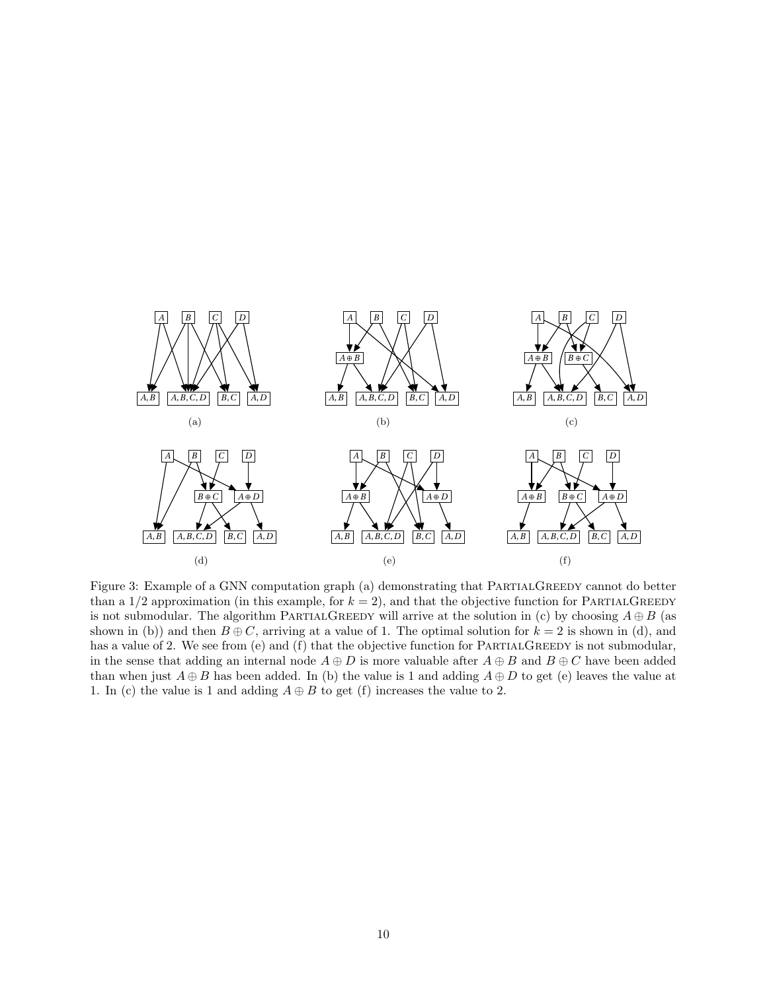<span id="page-9-0"></span>

Figure 3: Example of a GNN computation graph (a) demonstrating that PARTIALGREEDY cannot do better than a  $1/2$  approximation (in this example, for  $k = 2$ ), and that the objective function for PARTIALGREEDY is not submodular. The algorithm PARTIALGREEDY will arrive at the solution in (c) by choosing  $A \oplus B$  (as shown in (b)) and then  $B \oplus C$ , arriving at a value of 1. The optimal solution for  $k = 2$  is shown in (d), and has a value of 2. We see from (e) and (f) that the objective function for PARTIALGREEDY is not submodular, in the sense that adding an internal node  $A \oplus D$  is more valuable after  $A \oplus B$  and  $B \oplus C$  have been added than when just  $A \oplus B$  has been added. In (b) the value is 1 and adding  $A \oplus D$  to get (e) leaves the value at 1. In (c) the value is 1 and adding  $A \oplus B$  to get (f) increases the value to 2.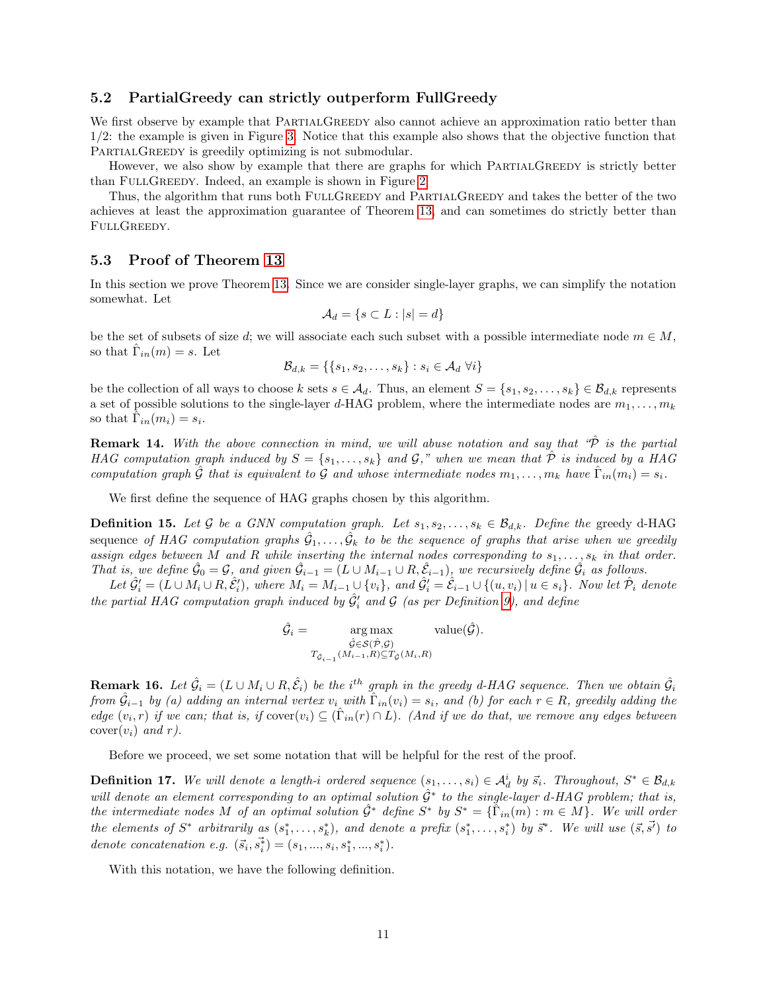### 5.2 PartialGreedy can strictly outperform FullGreedy

We first observe by example that PARTIALGREEDY also cannot achieve an approximation ratio better than 1/2: the example is given in Figure [3.](#page-9-0) Notice that this example also shows that the objective function that PARTIALGREEDY is greedily optimizing is not submodular.

However, we also show by example that there are graphs for which PARTIALGREEDY is strictly better than FULLGREEDY. Indeed, an example is shown in Figure [2.](#page-8-2)

Thus, the algorithm that runs both FULLGREEDY and PARTIALGREEDY and takes the better of the two achieves at least the approximation guarantee of Theorem [13,](#page-8-0) and can sometimes do strictly better than FULLGREEDY.

## <span id="page-10-0"></span>5.3 Proof of Theorem [13](#page-8-0)

In this section we prove Theorem [13.](#page-8-0) Since we are consider single-layer graphs, we can simplify the notation somewhat. Let

$$
\mathcal{A}_d = \{ s \subset L : |s| = d \}
$$

be the set of subsets of size d; we will associate each such subset with a possible intermediate node  $m \in M$ , so that  $\hat{\Gamma}_{in}(m) = s$ . Let

$$
\mathcal{B}_{d,k} = \{\{s_1, s_2, \ldots, s_k\} : s_i \in \mathcal{A}_d \,\,\forall i\}
$$

be the collection of all ways to choose k sets  $s \in A_d$ . Thus, an element  $S = \{s_1, s_2, \ldots, s_k\} \in \mathcal{B}_{d,k}$  represents a set of possible solutions to the single-layer d-HAG problem, where the intermediate nodes are  $m_1, \ldots, m_k$ so that  $\tilde{\Gamma}_{in}(m_i) = s_i$ .

<span id="page-10-1"></span>**Remark 14.** With the above connection in mind, we will abuse notation and say that  $\hat{\mathcal{P}}$  is the partial HAG computation graph induced by  $S = \{s_1, \ldots, s_k\}$  and  $\mathcal{G},$ " when we mean that  $\hat{\mathcal{P}}$  is induced by a HAG computation graph  $\hat{G}$  that is equivalent to  $\hat{G}$  and whose intermediate nodes  $m_1, \ldots, m_k$  have  $\hat{\Gamma}_{in}(m_i) = s_i$ .

We first define the sequence of HAG graphs chosen by this algorithm.

**Definition 15.** Let G be a GNN computation graph. Let  $s_1, s_2, \ldots, s_k \in \mathcal{B}_{d,k}$ . Define the greedy d-HAG sequence of HAG computation graphs  $\hat{\mathcal{G}}_1,\ldots,\hat{\mathcal{G}}_k$  to be the sequence of graphs that arise when we greedily assign edges between M and R while inserting the internal nodes corresponding to  $s_1, \ldots, s_k$  in that order. That is, we define  $\hat{\mathcal{G}}_0 = \mathcal{G}$ , and given  $\hat{\mathcal{G}}_{i-1} = (L \cup M_{i-1} \cup R, \hat{\mathcal{E}}_{i-1})$ , we recursively define  $\hat{\mathcal{G}}_i$  as follows.

Let  $\hat{\mathcal{G}}'_i = (L \cup M_i \cup R, \hat{\mathcal{E}}'_i)$ , where  $M_i = M_{i-1} \cup \{v_i\}$ , and  $\hat{\mathcal{G}}'_i = \hat{\mathcal{E}}_{i-1} \cup \{(u, v_i) \mid u \in s_i\}$ . Now let  $\hat{\mathcal{P}}_i$  denote the partial HAG computation graph induced by  $\hat{G}'_i$  and  $\hat{G}$  (as per Definition [9\)](#page-6-3), and define

$$
\hat{\mathcal{G}}_i = \operatorname*{arg\,max}_{\substack{\hat{\mathcal{G}} \in \mathcal{S}(\hat{\mathcal{P}}, \mathcal{G}) \\ T_{\hat{\mathcal{G}}_{i-1}}(M_{i-1}, R) \subseteq T_{\hat{\mathcal{G}}}(M_i, R)}} \text{value}(\hat{\mathcal{G}}).
$$

<span id="page-10-2"></span>**Remark 16.** Let  $\hat{G}_i = (L \cup M_i \cup R, \hat{\mathcal{E}}_i)$  be the i<sup>th</sup> graph in the greedy d-HAG sequence. Then we obtain  $\hat{\mathcal{G}}_i$ from  $\hat{\mathcal{G}}_{i-1}$  by (a) adding an internal vertex  $v_i$  with  $\hat{\Gamma}_{in}(v_i) = s_i$ , and (b) for each  $r \in R$ , greedily adding the edge  $(v_i, r)$  if we can; that is, if  $cover(v_i) \subseteq (\hat{\Gamma}_{in}(r) \cap L)$ . (And if we do that, we remove any edges between  $cover(v_i)$  and r).

Before we proceed, we set some notation that will be helpful for the rest of the proof.

<span id="page-10-3"></span>**Definition 17.** We will denote a length-i ordered sequence  $(s_1, \ldots, s_i) \in \mathcal{A}_d^i$  by  $\vec{s}_i$ . Throughout,  $S^* \in \mathcal{B}_{d,k}$ will denote an element corresponding to an optimal solution  $\hat{\mathcal{G}}^*$  to the single-layer d-HAG problem; that is, the intermediate nodes M of an optimal solution  $\hat{\mathcal{G}}^*$  define  $S^*$  by  $S^* = \{\hat{\Gamma}_{in}(m) : m \in M\}$ . We will order the elements of  $S^*$  arbitrarily as  $(s_1^*,\ldots,s_k^*)$ , and denote a prefix  $(s_1^*,\ldots,s_i^*)$  by  $\bar{s}^*$ . We will use  $(\bar{s},\bar{s'})$  to denote concatenation e.g.  $(\vec{s}_i, \vec{s}_i) = (s_1, ..., s_i, s_1^*, ..., s_i^*)$ .

With this notation, we have the following definition.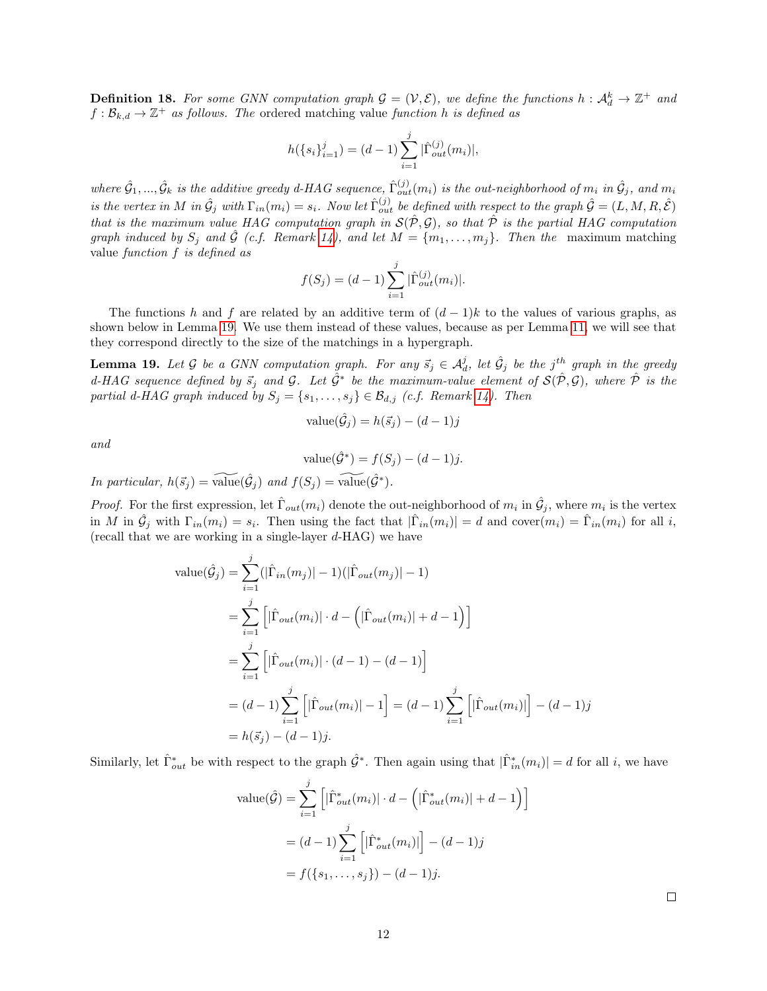**Definition 18.** For some GNN computation graph  $G = (V, E)$ , we define the functions  $h : \mathcal{A}_d^k \to \mathbb{Z}^+$  and  $f: \mathcal{B}_{k,d} \to \mathbb{Z}^+$  as follows. The ordered matching value function h is defined as

$$
h({s_i}_{i=1}^j) = (d-1) \sum_{i=1}^j |\hat{\Gamma}_{out}^{(j)}(m_i)|,
$$

where  $\hat{\cal G}_1,...,\hat{\cal G}_k$  is the additive greedy d-HAG sequence,  $\hat{\Gamma}_{out}^{(j)}(m_i)$  is the out-neighborhood of  $m_i$  in  $\hat{\cal G}_j$ , and  $m_i$ is the vertex in M in  $\hat{\mathcal{G}}_j$  with  $\Gamma_{in}(m_i) = s_i$ . Now let  $\hat{\Gamma}_{out}^{(j)}$  be defined with respect to the graph  $\hat{\mathcal{G}} = (L, M, R, \hat{\mathcal{E}})$ that is the maximum value HAG computation graph in  $\mathcal{S}(\hat{\mathcal{P}}, \mathcal{G})$ , so that  $\hat{\mathcal{P}}$  is the partial HAG computation graph induced by  $S_j$  and  $\hat{\mathcal{G}}$  (c.f. Remark [14\)](#page-10-1), and let  $M = \{m_1, \ldots, m_j\}$ . Then the maximum matching value function f is defined as

$$
f(S_j) = (d-1) \sum_{i=1}^{j} |\hat{\Gamma}_{out}^{(j)}(m_i)|.
$$

The functions h and f are related by an additive term of  $(d-1)k$  to the values of various graphs, as shown below in Lemma [19.](#page-11-0) We use them instead of these values, because as per Lemma [11,](#page-6-2) we will see that they correspond directly to the size of the matchings in a hypergraph.

<span id="page-11-0"></span>**Lemma 19.** Let G be a GNN computation graph. For any  $\vec{s}_j \in A_d^j$ , let  $\hat{\mathcal{G}}_j$  be the j<sup>th</sup> graph in the greedy d-HAG sequence defined by  $\vec{s}_j$  and  $\mathcal{G}$ . Let  $\hat{\mathcal{G}}^*$  be the maximum-value element of  $\mathcal{S}(\hat{\mathcal{P}},\mathcal{G})$ , where  $\hat{\mathcal{P}}$  is the partial d-HAG graph induced by  $S_j = \{s_1, \ldots, s_j\} \in \mathcal{B}_{d,j}$  (c.f. Remark [14\)](#page-10-1). Then

value
$$
(\hat{G}_j)
$$
 =  $h(\vec{s}_j)$  –  $(d-1)j$ 

and

value(
$$
\hat{G}^*
$$
) =  $f(S_j) - (d-1)j$ .

In particular,  $h(\vec{s}_j) = \widetilde{\text{value}}(\hat{\mathcal{G}}_j)$  and  $f(S_j) = \widetilde{\text{value}}(\hat{\mathcal{G}}^*)$ .

*Proof.* For the first expression, let  $\hat{\Gamma}_{out}(m_i)$  denote the out-neighborhood of  $m_i$  in  $\hat{\mathcal{G}}_j$ , where  $m_i$  is the vertex in M in  $\hat{\mathcal{G}}_j$  with  $\Gamma_{in}(m_i) = s_i$ . Then using the fact that  $|\hat{\Gamma}_{in}(m_i)| = d$  and  $cover(m_i) = \hat{\Gamma}_{in}(m_i)$  for all i, (recall that we are working in a single-layer  $d$ -HAG) we have

value
$$
(\hat{G}_j)
$$
 =  $\sum_{i=1}^{j} (|\hat{\Gamma}_{in}(m_j)| - 1)(|\hat{\Gamma}_{out}(m_j)| - 1)$   
\n=  $\sum_{i=1}^{j} [|\hat{\Gamma}_{out}(m_i)| \cdot d - (|\hat{\Gamma}_{out}(m_i)| + d - 1)]$   
\n=  $\sum_{i=1}^{j} [|\hat{\Gamma}_{out}(m_i)| \cdot (d - 1) - (d - 1)]$   
\n=  $(d - 1) \sum_{i=1}^{j} [|\hat{\Gamma}_{out}(m_i)| - 1] = (d - 1) \sum_{i=1}^{j} [|\hat{\Gamma}_{out}(m_i)|] - (d - 1)j$   
\n=  $h(\vec{s}_j) - (d - 1)j$ .

Similarly, let  $\hat{\Gamma}_{out}^*$  be with respect to the graph  $\hat{\mathcal{G}}^*$ . Then again using that  $|\hat{\Gamma}_{in}^*(m_i)| = d$  for all i, we have

value(
$$
\hat{G}
$$
) =  $\sum_{i=1}^{j} \left[ |\hat{\Gamma}_{out}^{*}(m_i)| \cdot d - (|\hat{\Gamma}_{out}^{*}(m_i)| + d - 1) \right]$   
 =  $(d - 1) \sum_{i=1}^{j} \left[ |\hat{\Gamma}_{out}^{*}(m_i)| \right] - (d - 1)j$   
 =  $f(\{s_1, ..., s_j\}) - (d - 1)j$ .

 $\Box$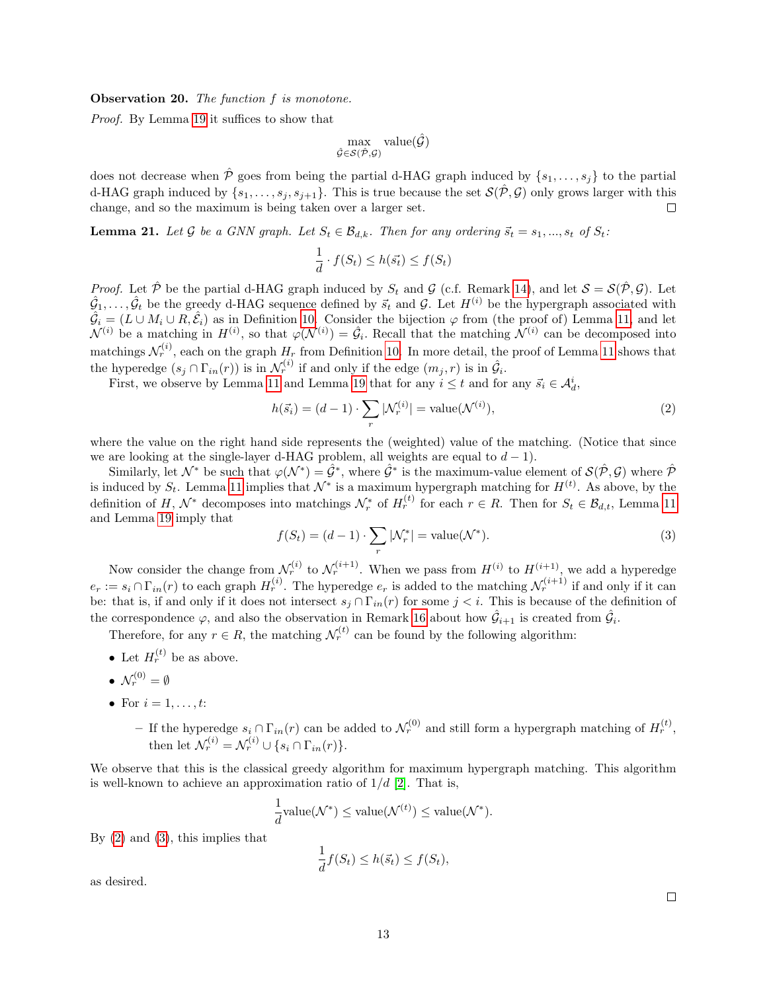<span id="page-12-3"></span>Observation 20. The function f is monotone.

Proof. By Lemma [19](#page-11-0) it suffices to show that

$$
\max_{\hat{\mathcal{G}} \in \mathcal{S}(\hat{\mathcal{P}}, \mathcal{G})} \text{value}(\hat{\mathcal{G}})
$$

does not decrease when  $\hat{\mathcal{P}}$  goes from being the partial d-HAG graph induced by  $\{s_1, \ldots, s_j\}$  to the partial d-HAG graph induced by  $\{s_1,\ldots,s_j,s_{j+1}\}\$ . This is true because the set  $\mathcal{S}(\hat{\mathcal{P}},\mathcal{G})$  only grows larger with this change, and so the maximum is being taken over a larger set.  $\Box$ 

<span id="page-12-2"></span>**Lemma 21.** Let G be a GNN graph. Let  $S_t \in \mathcal{B}_{d,k}$ . Then for any ordering  $\vec{s}_t = s_1, ..., s_t$  of  $S_t$ :

$$
\frac{1}{d} \cdot f(S_t) \le h(\vec{s_t}) \le f(S_t)
$$

*Proof.* Let  $\hat{\mathcal{P}}$  be the partial d-HAG graph induced by  $S_t$  and  $\mathcal{G}$  (c.f. Remark [14\)](#page-10-1), and let  $\mathcal{S} = \mathcal{S}(\hat{\mathcal{P}}, \mathcal{G})$ . Let  $\hat{G}_1,\ldots,\hat{G}_t$  be the greedy d-HAG sequence defined by  $\vec{s}_t$  and  $\mathcal{G}$ . Let  $H^{(i)}$  be the hypergraph associated with  $\hat{G}_i = (L \cup M_i \cup R, \hat{\mathcal{E}}_i)$  as in Definition [10.](#page-6-0) Consider the bijection  $\varphi$  from (the proof of) Lemma [11,](#page-6-2) and let  $\mathcal{N}^{(i)}$  be a matching in  $H^{(i)}$ , so that  $\varphi(\mathcal{N}^{(i)}) = \hat{\mathcal{G}}_i$ . Recall that the matching  $\mathcal{N}^{(i)}$  can be decomposed into matchings  $\mathcal{N}_r^{(i)}$ , each on the graph  $H_r$  from Definition [10.](#page-6-0) In more detail, the proof of Lemma [11](#page-6-2) shows that the hyperedge  $(s_j \cap \Gamma_{in}(r))$  is in  $\mathcal{N}_r^{(i)}$  if and only if the edge  $(m_j, r)$  is in  $\hat{\mathcal{G}}_i$ .

First, we observe by Lemma [11](#page-6-2) and Lemma [19](#page-11-0) that for any  $i \leq t$  and for any  $\vec{s}_i \in \mathcal{A}_d^i$ ,

<span id="page-12-0"></span>
$$
h(\vec{s}_i) = (d-1) \cdot \sum_r |\mathcal{N}_r^{(i)}| = \text{value}(\mathcal{N}^{(i)}),\tag{2}
$$

where the value on the right hand side represents the (weighted) value of the matching. (Notice that since we are looking at the single-layer d-HAG problem, all weights are equal to  $d-1$ ).

Similarly, let  $\mathcal{N}^*$  be such that  $\varphi(\mathcal{N}^*) = \hat{\mathcal{G}}^*$ , where  $\hat{\mathcal{G}}^*$  is the maximum-value element of  $\mathcal{S}(\hat{\mathcal{P}}, \mathcal{G})$  where  $\hat{\mathcal{P}}$ is induced by  $S_t$ . Lemma [11](#page-6-2) implies that  $\mathcal{N}^*$  is a maximum hypergraph matching for  $H^{(t)}$ . As above, by the definition of H,  $\mathcal{N}^*$  decomposes into matchings  $\mathcal{N}^*_r$  of  $H_r^{(t)}$  for each  $r \in R$ . Then for  $S_t \in \mathcal{B}_{d,t}$ , Lemma [11](#page-6-2) and Lemma [19](#page-11-0) imply that

<span id="page-12-1"></span>
$$
f(S_t) = (d-1) \cdot \sum_r |\mathcal{N}_r^*| = \text{value}(\mathcal{N}^*).
$$
\n(3)

Now consider the change from  $\mathcal{N}_r^{(i)}$  to  $\mathcal{N}_r^{(i+1)}$ . When we pass from  $H^{(i)}$  to  $H^{(i+1)}$ , we add a hyperedge  $e_r := s_i \cap \Gamma_{in}(r)$  to each graph  $H_r^{(i)}$ . The hyperedge  $e_r$  is added to the matching  $\mathcal{N}_r^{(i+1)}$  if and only if it can be: that is, if and only if it does not intersect  $s_j \cap \Gamma_{in}(r)$  for some  $j < i$ . This is because of the definition of the correspondence  $\varphi$ , and also the observation in Remark [16](#page-10-2) about how  $\hat{\mathcal{G}}_{i+1}$  is created from  $\hat{\mathcal{G}}_i$ .

Therefore, for any  $r \in R$ , the matching  $\mathcal{N}_r^{(t)}$  can be found by the following algorithm:

- Let  $H_r^{(t)}$  be as above.
- $\bullet\;\mathcal{N}_r^{(0)}=\emptyset$
- For  $i = 1, \ldots, t$ :
	- − If the hyperedge  $s_i \cap \Gamma_{in}(r)$  can be added to  $\mathcal{N}_r^{(0)}$  and still form a hypergraph matching of  $H_r^{(t)}$ , then let  $\mathcal{N}_r^{(i)} = \mathcal{N}_r^{(i)} \cup \{s_i \cap \Gamma_{in}(r)\}.$

We observe that this is the classical greedy algorithm for maximum hypergraph matching. This algorithm is well-known to achieve an approximation ratio of  $1/d$  [\[2\]](#page-17-7). That is,

$$
\frac{1}{d}\text{value}(\mathcal{N}^*) \leq \text{value}(\mathcal{N}^{(t)}) \leq \text{value}(\mathcal{N}^*).
$$

By  $(2)$  and  $(3)$ , this implies that

$$
\frac{1}{d}f(S_t) \le h(\vec{s_t}) \le f(S_t),
$$

as desired.

 $\Box$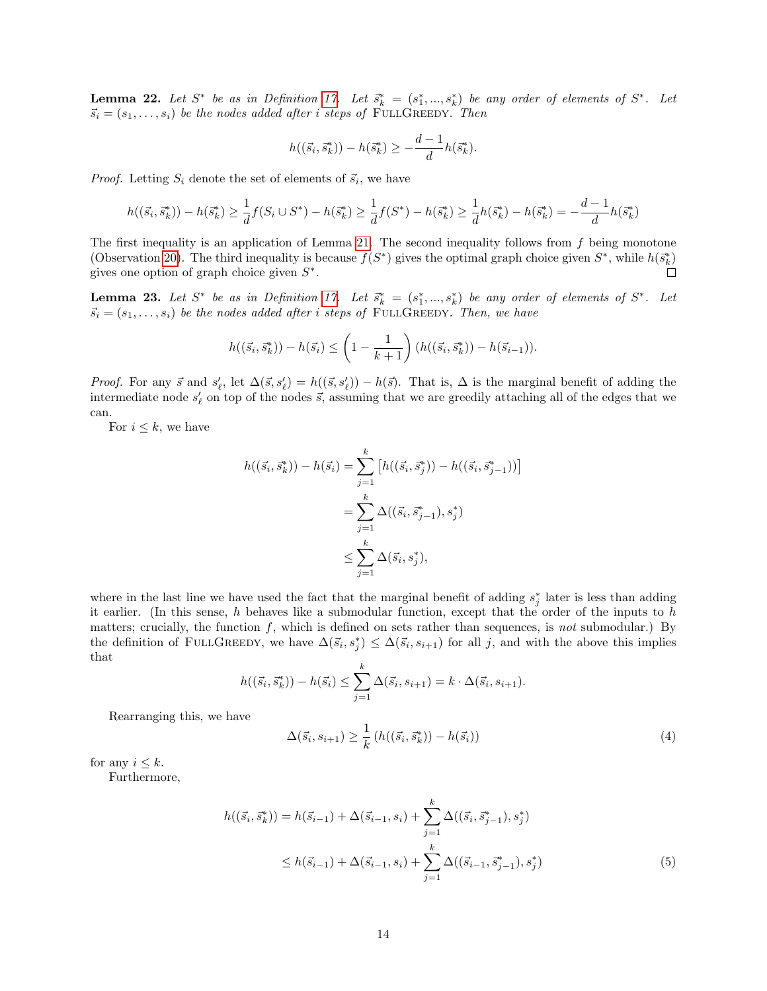<span id="page-13-3"></span>**Lemma 22.** Let  $S^*$  be as in Definition [17.](#page-10-3) Let  $\bar{s}_k^* = (s_1^*,...,s_k^*)$  be any order of elements of  $S^*$ . Let  $\vec{s}_i = (s_1, \ldots, s_i)$  be the nodes added after i steps of FULLGREEDY. Then

$$
h((\vec{s}_i, \vec{s}_k^*)) - h(\vec{s}_k^*) \ge -\frac{d-1}{d}h(\vec{s}_k^*).
$$

*Proof.* Letting  $S_i$  denote the set of elements of  $\vec{s}_i$ , we have

$$
h((\vec{s}_i, \vec{s}_k^*)) - h(\vec{s}_k^*) \ge \frac{1}{d}f(S_i \cup S^*) - h(\vec{s}_k^*) \ge \frac{1}{d}f(S^*) - h(\vec{s}_k^*) \ge \frac{1}{d}h(\vec{s}_k^*) - h(\vec{s}_k^*) = -\frac{d-1}{d}h(\vec{s}_k^*)
$$

The first inequality is an application of Lemma [21.](#page-12-2) The second inequality follows from  $f$  being monotone (Observation [20\)](#page-12-3). The third inequality is because  $f(S^*)$  gives the optimal graph choice given  $S^*$ , while  $h(\bar{s}_k^*)$ gives one option of graph choice given  $S^*$ . П

<span id="page-13-2"></span>**Lemma 23.** Let  $S^*$  be as in Definition [17.](#page-10-3) Let  $\bar{s}_k^* = (s_1^*,...,s_k^*)$  be any order of elements of  $S^*$ . Let  $\vec{s}_i = (s_1, \ldots, s_i)$  be the nodes added after i steps of FULLGREEDY. Then, we have

$$
h((\vec{s}_i, \vec{s}_k^*)) - h(\vec{s}_i) \le \left(1 - \frac{1}{k+1}\right) \left(h((\vec{s}_i, \vec{s}_k^*)) - h(\vec{s}_{i-1})\right).
$$

*Proof.* For any  $\vec{s}$  and  $s'_{\ell}$ , let  $\Delta(\vec{s}, s'_{\ell}) = h((\vec{s}, s'_{\ell})) - h(\vec{s})$ . That is,  $\Delta$  is the marginal benefit of adding the intermediate node  $s'_\ell$  on top of the nodes  $\vec{s}$ , assuming that we are greedily attaching all of the edges that we can.

For  $i \leq k$ , we have

$$
h((\vec{s}_i, \vec{s}_k^*)) - h(\vec{s}_i) = \sum_{j=1}^k \left[ h((\vec{s}_i, \vec{s}_j^*)) - h((\vec{s}_i, \vec{s}_{j-1}^*)) \right]
$$
  

$$
= \sum_{j=1}^k \Delta((\vec{s}_i, \vec{s}_{j-1}^*), s_j^*)
$$
  

$$
\leq \sum_{j=1}^k \Delta(\vec{s}_i, s_j^*),
$$

where in the last line we have used the fact that the marginal benefit of adding  $s_j^*$  later is less than adding it earlier. (In this sense, h behaves like a submodular function, except that the order of the inputs to  $h$ matters; crucially, the function  $f$ , which is defined on sets rather than sequences, is not submodular.) By the definition of FULLGREEDY, we have  $\Delta(\vec{s}_i, s^*_j) \leq \Delta(\vec{s}_i, s_{i+1})$  for all j, and with the above this implies that

$$
h((\vec{s}_i, \vec{s}_k^*)) - h(\vec{s}_i) \le \sum_{j=1}^k \Delta(\vec{s}_i, s_{i+1}) = k \cdot \Delta(\vec{s}_i, s_{i+1}).
$$

Rearranging this, we have

<span id="page-13-1"></span><span id="page-13-0"></span>
$$
\Delta(\vec{s}_i, s_{i+1}) \ge \frac{1}{k} \left( h((\vec{s}_i, \vec{s}_k^*)) - h(\vec{s}_i) \right) \tag{4}
$$

for any  $i \leq k$ .

Furthermore,

$$
h((\vec{s}_i, \vec{s}_k^*)) = h(\vec{s}_{i-1}) + \Delta(\vec{s}_{i-1}, s_i) + \sum_{j=1}^k \Delta((\vec{s}_i, \vec{s}_{j-1}^*), s_j^*)
$$
  

$$
\leq h(\vec{s}_{i-1}) + \Delta(\vec{s}_{i-1}, s_i) + \sum_{j=1}^k \Delta((\vec{s}_{i-1}, \vec{s}_{j-1}^*), s_j^*)
$$
(5)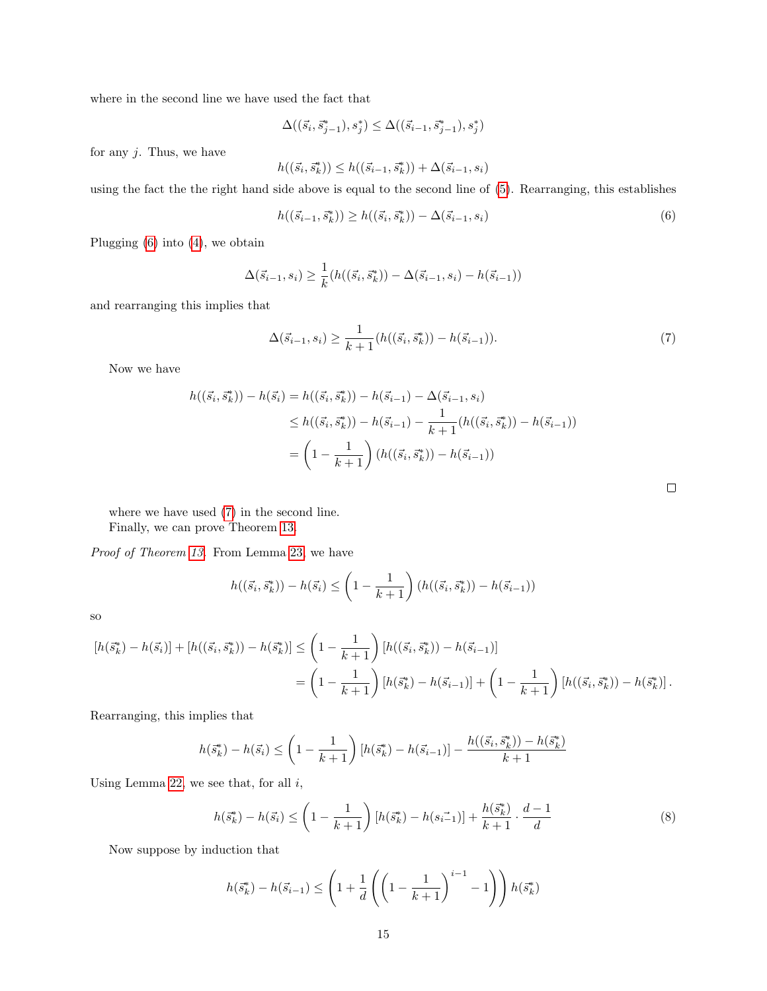where in the second line we have used the fact that

$$
\Delta((\vec{s}_i, \vec{s}_{j-1}^*), s_j^*) \le \Delta((\vec{s}_{i-1}, \vec{s}_{j-1}^*), s_j^*)
$$

for any  $j$ . Thus, we have

$$
h((\vec{s_i},\vec{s_k^*})) \leq h((\vec{s_{i-1}},\vec{s_k^*})) + \Delta(\vec{s_{i-1}},s_i)
$$

using the fact the the right hand side above is equal to the second line of [\(5\)](#page-13-0). Rearranging, this establishes

<span id="page-14-0"></span>
$$
h((\vec{s}_{i-1}, \vec{s}_k^*)) \ge h((\vec{s}_i, \vec{s}_k^*)) - \Delta(\vec{s}_{i-1}, s_i)
$$
\n(6)

Plugging [\(6\)](#page-14-0) into [\(4\)](#page-13-1), we obtain

$$
\Delta(\vec{s}_{i-1}, s_i) \ge \frac{1}{k} (h((\vec{s}_i, \vec{s}_k^*)) - \Delta(\vec{s}_{i-1}, s_i) - h(\vec{s}_{i-1}))
$$

and rearranging this implies that

<span id="page-14-1"></span>
$$
\Delta(\vec{s}_{i-1}, s_i) \ge \frac{1}{k+1} (h((\vec{s}_i, \vec{s}_k^*)) - h(\vec{s}_{i-1})).
$$
\n(7)

Now we have

$$
h((\vec{s}_i, \vec{s}_k^*)) - h(\vec{s}_i) = h((\vec{s}_i, \vec{s}_k^*)) - h(\vec{s}_{i-1}) - \Delta(\vec{s}_{i-1}, s_i)
$$
  
\n
$$
\leq h((\vec{s}_i, \vec{s}_k^*)) - h(\vec{s}_{i-1}) - \frac{1}{k+1} (h((\vec{s}_i, \vec{s}_k^*)) - h(\vec{s}_{i-1}))
$$
  
\n
$$
= \left(1 - \frac{1}{k+1}\right) (h((\vec{s}_i, \vec{s}_k^*)) - h(\vec{s}_{i-1}))
$$

 $\Box$ 

where we have used [\(7\)](#page-14-1) in the second line. Finally, we can prove Theorem [13.](#page-8-0)

Proof of Theorem [13.](#page-8-0) From Lemma [23,](#page-13-2) we have

$$
h((\vec{s}_i, \vec{s}_k^*)) - h(\vec{s}_i) \le \left(1 - \frac{1}{k+1}\right) \left(h((\vec{s}_i, \vec{s}_k^*)) - h(\vec{s}_{i-1})\right)
$$

so

$$
[h(\vec{s}_k^*) - h(\vec{s}_i)] + [h((\vec{s}_i, \vec{s}_k^*)) - h(\vec{s}_k)] \le \left(1 - \frac{1}{k+1}\right) \left[h((\vec{s}_i, \vec{s}_k^*)) - h(\vec{s}_{i-1})\right]
$$
  
= 
$$
\left(1 - \frac{1}{k+1}\right) \left[h(\vec{s}_k^*) - h(\vec{s}_{i-1})\right] + \left(1 - \frac{1}{k+1}\right) \left[h((\vec{s}_i, \vec{s}_k^*)) - h(\vec{s}_k)\right].
$$

Rearranging, this implies that

$$
h(\vec{s}_k^*) - h(\vec{s}_i) \le \left(1 - \frac{1}{k+1}\right) \left[h(\vec{s}_k^*) - h(\vec{s}_{i-1})\right] - \frac{h((\vec{s}_i, \vec{s}_k^*)) - h(\vec{s}_k^*)}{k+1}
$$

Using Lemma [22,](#page-13-3) we see that, for all  $i$ ,

<span id="page-14-2"></span>
$$
h(\vec{s}_k^*) - h(\vec{s}_i) \le \left(1 - \frac{1}{k+1}\right) \left[h(\vec{s}_k^*) - h(\vec{s}_{i-1})\right] + \frac{h(\vec{s}_k^*)}{k+1} \cdot \frac{d-1}{d} \tag{8}
$$

Now suppose by induction that

$$
h(\vec{s}_k^*) - h(\vec{s}_{i-1}) \le \left(1 + \frac{1}{d} \left( \left(1 - \frac{1}{k+1}\right)^{i-1} - 1\right) \right) h(\vec{s}_k^*)
$$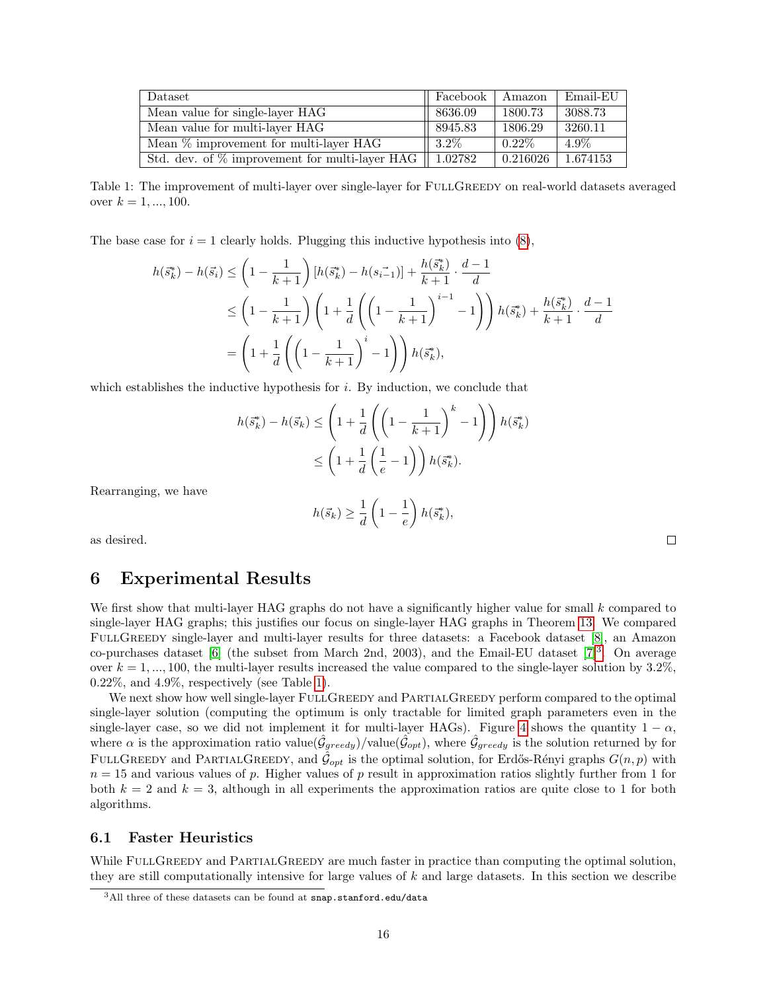<span id="page-15-2"></span>

| Dataset                                           | Facebook | Amazon   | Email-EU |
|---------------------------------------------------|----------|----------|----------|
| Mean value for single-layer HAG                   | 8636.09  | 1800.73  | 3088.73  |
| Mean value for multi-layer HAG                    | 8945.83  | 1806.29  | 3260.11  |
| Mean $\%$ improvement for multi-layer HAG         | $3.2\%$  | $0.22\%$ | $4.9\%$  |
| Std. dev. of $\%$ improvement for multi-layer HAG | 1.02782  | 0.216026 | 1.674153 |

Table 1: The improvement of multi-layer over single-layer for FULLGREEDY on real-world datasets averaged over  $k = 1, ..., 100$ .

The base case for  $i = 1$  clearly holds. Plugging this inductive hypothesis into  $(8)$ ,

$$
h(\vec{s}_{k}^{*}) - h(\vec{s}_{i}) \leq \left(1 - \frac{1}{k+1}\right) \left[h(\vec{s}_{k}^{*}) - h(\vec{s}_{i-1})\right] + \frac{h(\vec{s}_{k}^{*})}{k+1} \cdot \frac{d-1}{d}
$$
  
\n
$$
\leq \left(1 - \frac{1}{k+1}\right) \left(1 + \frac{1}{d} \left(\left(1 - \frac{1}{k+1}\right)^{i-1} - 1\right)\right) h(\vec{s}_{k}^{*}) + \frac{h(\vec{s}_{k}^{*})}{k+1} \cdot \frac{d-1}{d}
$$
  
\n
$$
= \left(1 + \frac{1}{d} \left(\left(1 - \frac{1}{k+1}\right)^{i} - 1\right)\right) h(\vec{s}_{k}^{*}),
$$

which establishes the inductive hypothesis for  $i$ . By induction, we conclude that

$$
h(\vec{s}_k^*) - h(\vec{s}_k) \le \left(1 + \frac{1}{d} \left( \left(1 - \frac{1}{k+1}\right)^k - 1\right) \right) h(\vec{s}_k^*)
$$
  

$$
\le \left(1 + \frac{1}{d} \left(\frac{1}{e} - 1\right)\right) h(\vec{s}_k^*).
$$

Rearranging, we have

$$
h(\vec{s}_k) \ge \frac{1}{d} \left( 1 - \frac{1}{e} \right) h(\vec{s}_k^*),
$$

as desired.

## <span id="page-15-0"></span>6 Experimental Results

We first show that multi-layer HAG graphs do not have a significantly higher value for small  $k$  compared to single-layer HAG graphs; this justifies our focus on single-layer HAG graphs in Theorem [13.](#page-8-0) We compared FULLGREEDY single-layer and multi-layer results for three datasets: a Facebook dataset [\[8\]](#page-17-8), an Amazon co-purchases dataset [\[6\]](#page-17-9) (the subset from March 2nd, 200[3](#page-15-1)), and the Email-EU dataset  $[7]^3$ . On average over  $k = 1, ..., 100$ , the multi-layer results increased the value compared to the single-layer solution by 3.2%, 0.22%, and 4.9%, respectively (see Table [1\)](#page-15-2).

We next show how well single-layer FULLGREEDY and PARTIALGREEDY perform compared to the optimal single-layer solution (computing the optimum is only tractable for limited graph parameters even in the single-layer case, so we did not implement it for multi-layer HAGs). Figure [4](#page-16-0) shows the quantity  $1 - \alpha$ , where  $\alpha$  is the approximation ratio value $(\hat{\mathcal{G}}_{greedy})$ /value $(\hat{\mathcal{G}}_{opt})$ , where  $\hat{\mathcal{G}}_{greedy}$  is the solution returned by for FULLGREEDY and PARTIALGREEDY, and  $\hat{\mathcal{G}}_{opt}$  is the optimal solution, for Erdős-Rényi graphs  $G(n, p)$  with  $n = 15$  and various values of p. Higher values of p result in approximation ratios slightly further from 1 for both  $k = 2$  and  $k = 3$ , although in all experiments the approximation ratios are quite close to 1 for both algorithms.

### 6.1 Faster Heuristics

While FULLGREEDY and PARTIALGREEDY are much faster in practice than computing the optimal solution, they are still computationally intensive for large values of k and large datasets. In this section we describe

 $\Box$ 

<span id="page-15-1"></span> $3$ All three of these datasets can be found at snap.stanford.edu/data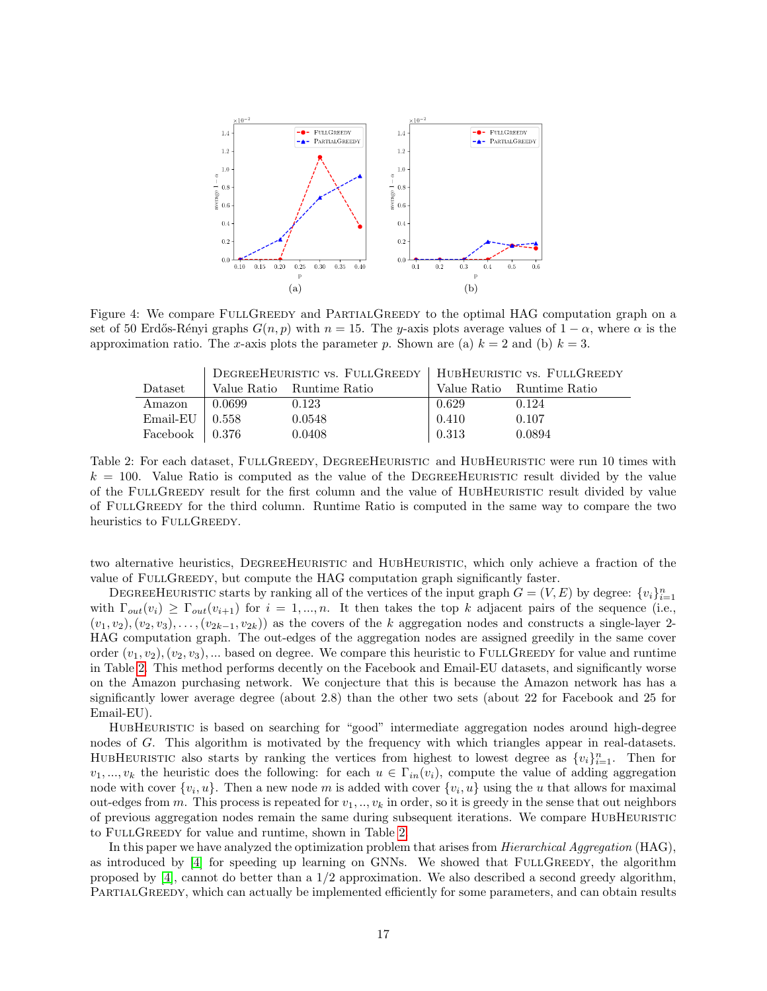<span id="page-16-0"></span>

Figure 4: We compare FULLGREEDY and PARTIALGREEDY to the optimal HAG computation graph on a set of 50 Erdős-Rényi graphs  $G(n, p)$  with  $n = 15$ . The y-axis plots average values of  $1 - \alpha$ , where  $\alpha$  is the approximation ratio. The x-axis plots the parameter p. Shown are (a)  $k = 2$  and (b)  $k = 3$ .

<span id="page-16-1"></span>

|                        | DEGREEHEURISTIC VS. FULLGREEDY   HUBHEURISTIC VS. FULLGREEDY |                           |       |                           |
|------------------------|--------------------------------------------------------------|---------------------------|-------|---------------------------|
| <b>Dataset</b>         |                                                              | Value Ratio Runtime Ratio |       | Value Ratio Runtime Ratio |
| Amazon                 | 0.0699                                                       | 0.123                     | 0.629 | 0.124                     |
| $Email-EU$             | -0.558                                                       | 0.0548                    | 0.410 | 0.107                     |
| Facebook $\vert$ 0.376 |                                                              | 0.0408                    | 0.313 | 0.0894                    |

Table 2: For each dataset, FULLGREEDY, DEGREEHEURISTIC and HUBHEURISTIC were run 10 times with  $k = 100$ . Value Ratio is computed as the value of the DEGREEHEURISTIC result divided by the value of the FullGreedy result for the first column and the value of HubHeuristic result divided by value of FullGreedy for the third column. Runtime Ratio is computed in the same way to compare the two heuristics to FULLGREEDY.

two alternative heuristics, DegreeHeuristic and HubHeuristic, which only achieve a fraction of the value of FULLGREEDY, but compute the HAG computation graph significantly faster.

DEGREEHEURISTIC starts by ranking all of the vertices of the input graph  $G = (V, E)$  by degree:  $\{v_i\}_{i=1}^n$ with  $\Gamma_{out}(v_i) \geq \Gamma_{out}(v_{i+1})$  for  $i = 1, ..., n$ . It then takes the top k adjacent pairs of the sequence (i.e.,  $(v_1, v_2), (v_2, v_3), \ldots, (v_{2k-1}, v_{2k})$  as the covers of the k aggregation nodes and constructs a single-layer 2-HAG computation graph. The out-edges of the aggregation nodes are assigned greedily in the same cover order  $(v_1, v_2), (v_2, v_3), \dots$  based on degree. We compare this heuristic to FULLGREEDY for value and runtime in Table [2.](#page-16-1) This method performs decently on the Facebook and Email-EU datasets, and significantly worse on the Amazon purchasing network. We conjecture that this is because the Amazon network has has a significantly lower average degree (about 2.8) than the other two sets (about 22 for Facebook and 25 for Email-EU).

HubHeuristic is based on searching for "good" intermediate aggregation nodes around high-degree nodes of G. This algorithm is motivated by the frequency with which triangles appear in real-datasets. HUBHEURISTIC also starts by ranking the vertices from highest to lowest degree as  $\{v_i\}_{i=1}^n$ . Then for  $v_1, ..., v_k$  the heuristic does the following: for each  $u \in \Gamma_{in}(v_i)$ , compute the value of adding aggregation node with cover  $\{v_i, u\}$ . Then a new node m is added with cover  $\{v_i, u\}$  using the u that allows for maximal out-edges from m. This process is repeated for  $v_1, \ldots, v_k$  in order, so it is greedy in the sense that out neighbors of previous aggregation nodes remain the same during subsequent iterations. We compare HUBHEURISTIC to FULLGREEDY for value and runtime, shown in Table [2.](#page-16-1)

In this paper we have analyzed the optimization problem that arises from *Hierarchical Aggregation* (HAG). as introduced by [\[4\]](#page-17-0) for speeding up learning on GNNs. We showed that FULLGREEDY, the algorithm proposed by [\[4\]](#page-17-0), cannot do better than a 1/2 approximation. We also described a second greedy algorithm, PARTIALGREEDY, which can actually be implemented efficiently for some parameters, and can obtain results